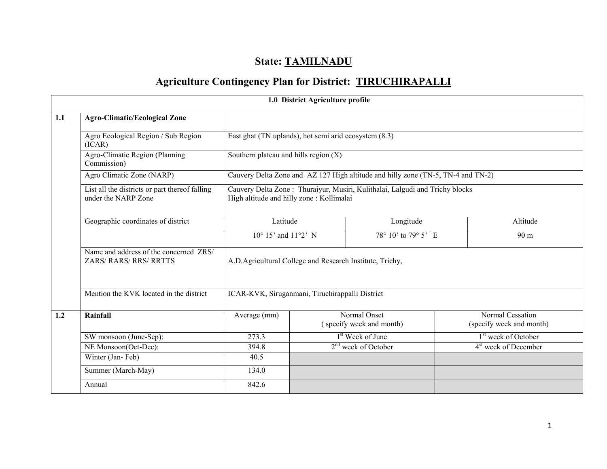# State: TAMILNADU

## Agriculture Contingency Plan for District: TIRUCHIRAPALLI

|     |                                                                       |                                                           | 1.0 District Agriculture profile |                                                                                  |                                              |
|-----|-----------------------------------------------------------------------|-----------------------------------------------------------|----------------------------------|----------------------------------------------------------------------------------|----------------------------------------------|
| 1.1 | <b>Agro-Climatic/Ecological Zone</b>                                  |                                                           |                                  |                                                                                  |                                              |
|     | Agro Ecological Region / Sub Region<br>(ICAR)                         | East ghat (TN uplands), hot semi arid ecosystem (8.3)     |                                  |                                                                                  |                                              |
|     | Agro-Climatic Region (Planning<br>Commission)                         | Southern plateau and hills region $(X)$                   |                                  |                                                                                  |                                              |
|     | Agro Climatic Zone (NARP)                                             |                                                           |                                  | Cauvery Delta Zone and AZ 127 High altitude and hilly zone (TN-5, TN-4 and TN-2) |                                              |
|     | List all the districts or part thereof falling<br>under the NARP Zone | High altitude and hilly zone: Kollimalai                  |                                  | Cauvery Delta Zone: Thuraiyur, Musiri, Kulithalai, Lalgudi and Trichy blocks     |                                              |
|     | Geographic coordinates of district                                    | Latitude                                                  |                                  | Longitude                                                                        | Altitude                                     |
|     |                                                                       | $10^{\circ}$ 15' and $11^{\circ}2'$ N                     |                                  | $78^{\circ}$ 10' to $79^{\circ}$ 5' E                                            | 90 m                                         |
|     | Name and address of the concerned ZRS/<br>ZARS/RARS/RRS/RRTTS         | A.D. Agricultural College and Research Institute, Trichy, |                                  |                                                                                  |                                              |
|     | Mention the KVK located in the district                               | ICAR-KVK, Siruganmani, Tiruchirappalli District           |                                  |                                                                                  |                                              |
| 1.2 | Rainfall                                                              | Average (mm)                                              |                                  | Normal Onset<br>(specify week and month)                                         | Normal Cessation<br>(specify week and month) |
|     | SW monsoon (June-Sep):                                                | 273.3                                                     |                                  | I <sup>st</sup> Week of June                                                     | 1 <sup>st</sup> week of October              |
|     | NE Monsoon(Oct-Dec):                                                  | 394.8                                                     | $2nd$ week of October            |                                                                                  | 4 <sup>st</sup> week of December             |
|     | Winter (Jan-Feb)                                                      | 40.5                                                      |                                  |                                                                                  |                                              |
|     | Summer (March-May)                                                    | 134.0                                                     |                                  |                                                                                  |                                              |
|     | Annual                                                                | 842.6                                                     |                                  |                                                                                  |                                              |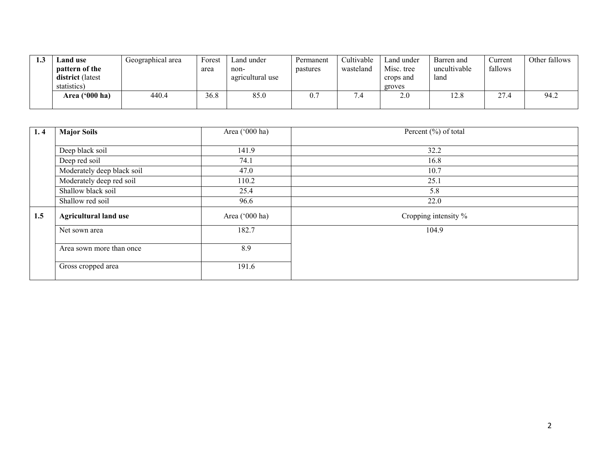| 1.J | Land use                           | Geographical area | Forest | Land under               | Permanent | Cultivable | Land under              | Barren and           | Current | Other fallows |
|-----|------------------------------------|-------------------|--------|--------------------------|-----------|------------|-------------------------|----------------------|---------|---------------|
|     | pattern of the<br>district (latest |                   | area   | non-<br>agricultural use | pastures  | wasteland  | Misc. tree<br>crops and | uncultivable<br>land | fallows |               |
|     | statistics)                        |                   |        |                          |           |            | groves                  |                      |         |               |
|     | Area $('000 ha)$                   | 440.4             | 36.8   | 85.0                     | U.        |            | 2.0                     | 12.8                 | 27.4    | 94.2          |
|     |                                    |                   |        |                          |           |            |                         |                      |         |               |

| 1.4 | <b>Major Soils</b>           | Area ('000 ha) | Percent (%) of total |
|-----|------------------------------|----------------|----------------------|
|     |                              |                |                      |
|     | Deep black soil              | 141.9          | 32.2                 |
|     | Deep red soil                | 74.1           | 16.8                 |
|     | Moderately deep black soil   | 47.0           | 10.7                 |
|     | Moderately deep red soil     | 110.2          | 25.1                 |
|     | Shallow black soil           | 25.4           | 5.8                  |
|     | Shallow red soil             | 96.6           | 22.0                 |
| 1.5 | <b>Agricultural land use</b> | Area ('000 ha) | Cropping intensity % |
|     | Net sown area                | 182.7          | 104.9                |
|     | Area sown more than once     | 8.9            |                      |
|     | Gross cropped area           | 191.6          |                      |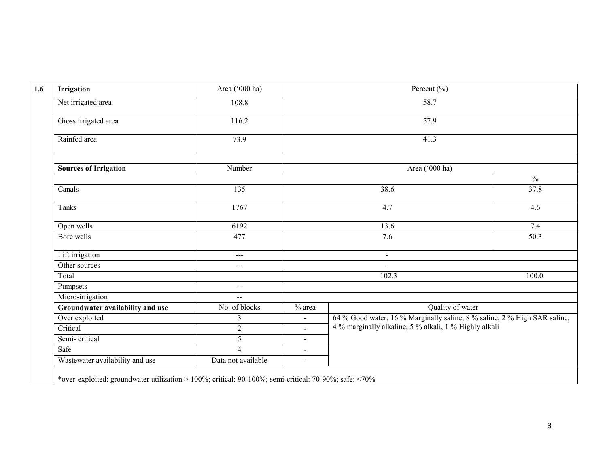| <b>Irrigation</b>                | Area ('000 ha)                                |                    | Percent $(\% )$                                                           |               |  |
|----------------------------------|-----------------------------------------------|--------------------|---------------------------------------------------------------------------|---------------|--|
| Net irrigated area               | 108.8                                         |                    | $\overline{58.7}$                                                         |               |  |
| Gross irrigated area             | 116.2                                         |                    | 57.9                                                                      |               |  |
| Rainfed area                     | 73.9                                          |                    | 41.3                                                                      |               |  |
| <b>Sources of Irrigation</b>     | Number                                        |                    | Area ('000 ha)                                                            |               |  |
|                                  |                                               |                    |                                                                           | $\frac{0}{6}$ |  |
| Canals                           | 135                                           |                    | 37.8                                                                      |               |  |
| Tanks                            | 1767                                          |                    | 4.6                                                                       |               |  |
| Open wells                       | 6192                                          |                    | 7.4                                                                       |               |  |
| Bore wells                       | 477                                           |                    | 7.6                                                                       | 50.3          |  |
| Lift irrigation                  | ---                                           | $\blacksquare$     |                                                                           |               |  |
| Other sources                    | $\mathord{\hspace{1pt}\text{--}\hspace{1pt}}$ |                    | $\blacksquare$                                                            |               |  |
| Total                            |                                               |                    | 102.3                                                                     | 100.0         |  |
| Pumpsets                         | $\sim$                                        |                    |                                                                           |               |  |
| Micro-irrigation                 | $\mathbf{u}$                                  |                    |                                                                           |               |  |
| Groundwater availability and use | No. of blocks                                 | $\frac{1}{2}$ area | Quality of water                                                          |               |  |
| Over exploited                   | 3                                             | $\blacksquare$     | 64 % Good water, 16 % Marginally saline, 8 % saline, 2 % High SAR saline, |               |  |
| Critical                         | $\sqrt{2}$                                    | $\sim$             | 4 % marginally alkaline, 5 % alkali, 1 % Highly alkali                    |               |  |
| Semi-critical                    | $\sqrt{5}$                                    | $\blacksquare$     |                                                                           |               |  |
| Safe                             | $\overline{4}$                                | $\sim$             |                                                                           |               |  |
| Wastewater availability and use  | Data not available                            | $\sim$             |                                                                           |               |  |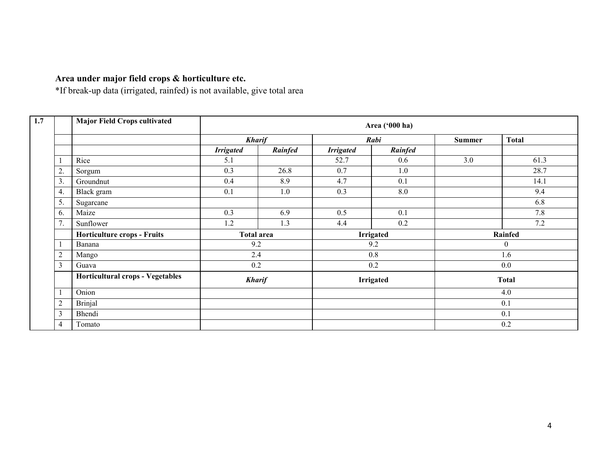### Area under major field crops & horticulture etc.

\*If break-up data (irrigated, rainfed) is not available, give total area

|                | <b>Major Field Crops cultivated</b>     |                   |               |                  | Area ('000 ha)   |                |              |
|----------------|-----------------------------------------|-------------------|---------------|------------------|------------------|----------------|--------------|
|                |                                         |                   | <b>Kharif</b> |                  | Rabi             | <b>Summer</b>  | <b>Total</b> |
|                |                                         | <b>Irrigated</b>  | Rainfed       | <b>Irrigated</b> | Rainfed          |                |              |
|                | Rice                                    | 5.1               |               | 52.7             | 0.6              | 3.0            | 61.3         |
| 2.             | Sorgum                                  | 0.3               | 26.8          | 0.7              | 1.0              |                | 28.7         |
| 3.             | Groundnut                               | 0.4               | 8.9           | 4.7              | 0.1              |                | 14.1         |
| 4.             | Black gram                              | 0.1               | 1.0           | 0.3              | 8.0              |                | 9.4          |
| 5.             | Sugarcane                               |                   |               |                  |                  |                | 6.8          |
| 6.             | Maize                                   | 0.3               | 6.9           | 0.5              | 0.1              |                | 7.8          |
| 7.             | Sunflower                               | 1.2               | 1.3           | 4.4              | 0.2              |                | 7.2          |
|                | <b>Horticulture crops - Fruits</b>      | <b>Total area</b> |               | <b>Irrigated</b> |                  | <b>Rainfed</b> |              |
|                | Banana                                  | 9.2               |               | 9.2              |                  | $\overline{0}$ |              |
| $\overline{2}$ | Mango                                   | 2.4               |               |                  | 0.8              |                | 1.6          |
| 3              | Guava                                   | 0.2               |               |                  | 0.2              |                | 0.0          |
|                | <b>Horticultural crops - Vegetables</b> | <b>Kharif</b>     |               |                  | <b>Irrigated</b> |                | <b>Total</b> |
|                | Onion                                   |                   |               |                  |                  |                | 4.0          |
| 2              | <b>Brinjal</b>                          |                   |               |                  |                  |                | 0.1          |
| 3              | Bhendi                                  |                   |               |                  |                  |                | 0.1          |
| 4              | Tomato                                  |                   |               |                  |                  |                | 0.2          |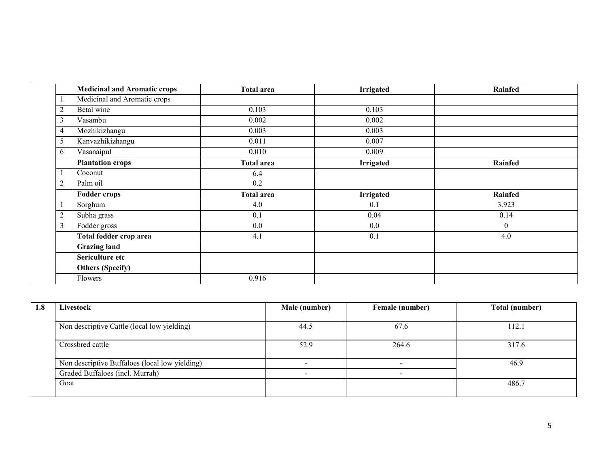|                | <b>Medicinal and Aromatic crops</b> | <b>Total area</b> | Irrigated        | Rainfed  |
|----------------|-------------------------------------|-------------------|------------------|----------|
|                | Medicinal and Aromatic crops        |                   |                  |          |
| 2              | Betal wine                          | 0.103             | 0.103            |          |
| 3              | Vasambu                             | 0.002             | 0.002            |          |
| 4              | Mozhikizhangu                       | 0.003             | 0.003            |          |
|                | Kanvazhikizhangu                    | 0.011             | 0.007            |          |
| 6              | Vasanaipul                          | 0.010             | 0.009            |          |
|                | <b>Plantation crops</b>             | <b>Total area</b> | Irrigated        | Rainfed  |
|                | Coconut                             | 6.4               |                  |          |
| $\overline{2}$ | Palm oil                            | 0.2               |                  |          |
|                | <b>Fodder crops</b>                 | <b>Total area</b> | <b>Irrigated</b> | Rainfed  |
|                | Sorghum                             | 4.0               | 0.1              | 3.923    |
| 2              | Subha grass                         | 0.1               | 0.04             | 0.14     |
| 3              | Fodder gross                        | 0.0               | 0.0              | $\theta$ |
|                | Total fodder crop area              | 4.1               | 0.1              | 4.0      |
|                | <b>Grazing land</b>                 |                   |                  |          |
|                | Sericulture etc                     |                   |                  |          |
|                | <b>Others (Specify)</b>             |                   |                  |          |
|                | Flowers                             | 0.916             |                  |          |

| 1.8 | Livestock                                      | Male (number) | Female (number) | Total (number) |
|-----|------------------------------------------------|---------------|-----------------|----------------|
|     |                                                |               |                 |                |
|     | Non descriptive Cattle (local low yielding)    | 44.5          | 67.6            | 112.1          |
|     | Crossbred cattle                               | 52.9          | 264.6           | 317.6          |
|     | Non descriptive Buffaloes (local low yielding) |               |                 | 46.9           |
|     | Graded Buffaloes (incl. Murrah)                | <u>_</u>      |                 |                |
|     | Goat                                           |               |                 | 486.7          |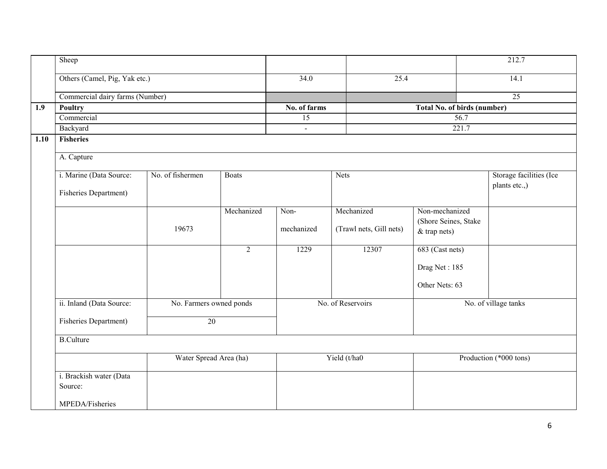|      | Sheep                                                       |                              |                        |                |                         |                                          | 212.7                |
|------|-------------------------------------------------------------|------------------------------|------------------------|----------------|-------------------------|------------------------------------------|----------------------|
|      | Others (Camel, Pig, Yak etc.)                               |                              |                        | 34.0           | 25.4                    |                                          | 14.1                 |
|      | Commercial dairy farms (Number)                             |                              |                        |                |                         |                                          | $\overline{25}$      |
| 1.9  | <b>Poultry</b>                                              |                              |                        | No. of farms   |                         | Total No. of birds (number)              |                      |
|      | Commercial                                                  |                              |                        | 15             |                         | 56.7                                     |                      |
|      | Backyard                                                    |                              |                        | $\blacksquare$ |                         | 221.7                                    |                      |
| 1.10 | <b>Fisheries</b>                                            |                              |                        |                |                         |                                          |                      |
|      | A. Capture                                                  |                              |                        |                |                         |                                          |                      |
|      | i. Marine (Data Source:<br>No. of fishermen<br><b>Boats</b> |                              |                        | <b>Nets</b>    |                         | Storage facilities (Ice<br>plants etc.,) |                      |
|      |                                                             | <b>Fisheries Department)</b> |                        |                |                         |                                          |                      |
|      |                                                             |                              | Mechanized             | Non-           | Mechanized              | Non-mechanized                           |                      |
|      |                                                             |                              |                        |                |                         | (Shore Seines, Stake                     |                      |
|      |                                                             | 19673                        |                        | mechanized     | (Trawl nets, Gill nets) | $&$ trap nets)                           |                      |
|      |                                                             |                              | $\overline{2}$         | 1229           | 12307                   | 683 (Cast nets)                          |                      |
|      |                                                             |                              |                        |                |                         | Drag Net: 185                            |                      |
|      |                                                             |                              |                        |                |                         | Other Nets: 63                           |                      |
|      | ii. Inland (Data Source:                                    | No. Farmers owned ponds      |                        |                | No. of Reservoirs       |                                          | No. of village tanks |
|      | Fisheries Department)                                       | 20                           |                        |                |                         |                                          |                      |
|      | <b>B.Culture</b>                                            |                              |                        |                |                         |                                          |                      |
|      |                                                             |                              | Water Spread Area (ha) |                | Yield (t/ha0            | Production (*000 tons)                   |                      |
|      | i. Brackish water (Data                                     |                              |                        |                |                         |                                          |                      |
|      | Source:                                                     |                              |                        |                |                         |                                          |                      |
|      | MPEDA/Fisheries                                             |                              |                        |                |                         |                                          |                      |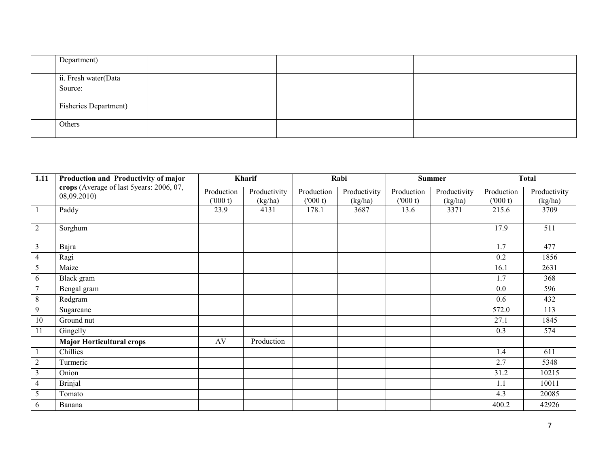| Department)                     |  |  |
|---------------------------------|--|--|
| ii. Fresh water(Data<br>Source: |  |  |
| <b>Fisheries Department)</b>    |  |  |
| Others                          |  |  |

| 1.11           | Production and Productivity of major                    | Kharif                |                         |                       | Rabi                    |                       | <b>Summer</b>           |                        | <b>Total</b>            |
|----------------|---------------------------------------------------------|-----------------------|-------------------------|-----------------------|-------------------------|-----------------------|-------------------------|------------------------|-------------------------|
|                | crops (Average of last 5years: 2006, 07,<br>08,09.2010) | Production<br>(000 t) | Productivity<br>(kg/ha) | Production<br>(000 t) | Productivity<br>(kg/ha) | Production<br>(000 t) | Productivity<br>(kg/ha) | Production<br>(1000 t) | Productivity<br>(kg/ha) |
| $\mathbf{1}$   | Paddy                                                   | 23.9                  | 4131                    | 178.1                 | 3687                    | 13.6                  | 3371                    | 215.6                  | 3709                    |
| $\overline{2}$ | Sorghum                                                 |                       |                         |                       |                         |                       |                         | 17.9                   | 511                     |
| $\overline{3}$ | Bajra                                                   |                       |                         |                       |                         |                       |                         | 1.7                    | 477                     |
| 4              | Ragi                                                    |                       |                         |                       |                         |                       |                         | 0.2                    | 1856                    |
| 5              | Maize                                                   |                       |                         |                       |                         |                       |                         | 16.1                   | 2631                    |
| 6              | Black gram                                              |                       |                         |                       |                         |                       |                         | 1.7                    | 368                     |
| $\tau$         | Bengal gram                                             |                       |                         |                       |                         |                       |                         | 0.0                    | 596                     |
| 8              | Redgram                                                 |                       |                         |                       |                         |                       |                         | 0.6                    | 432                     |
| 9              | Sugarcane                                               |                       |                         |                       |                         |                       |                         | 572.0                  | 113                     |
| 10             | Ground nut                                              |                       |                         |                       |                         |                       |                         | 27.1                   | 1845                    |
| 11             | Gingelly                                                |                       |                         |                       |                         |                       |                         | 0.3                    | 574                     |
|                | <b>Major Horticultural crops</b>                        | AV                    | Production              |                       |                         |                       |                         |                        |                         |
|                | Chillies                                                |                       |                         |                       |                         |                       |                         | 1.4                    | 611                     |
| $\overline{2}$ | Turmeric                                                |                       |                         |                       |                         |                       |                         | 2.7                    | 5348                    |
| 3              | Onion                                                   |                       |                         |                       |                         |                       |                         | 31.2                   | 10215                   |
| 4              | <b>Brinjal</b>                                          |                       |                         |                       |                         |                       |                         | 1.1                    | 10011                   |
| 5              | Tomato                                                  |                       |                         |                       |                         |                       |                         | 4.3                    | 20085                   |
| 6              | Banana                                                  |                       |                         |                       |                         |                       |                         | 400.2                  | 42926                   |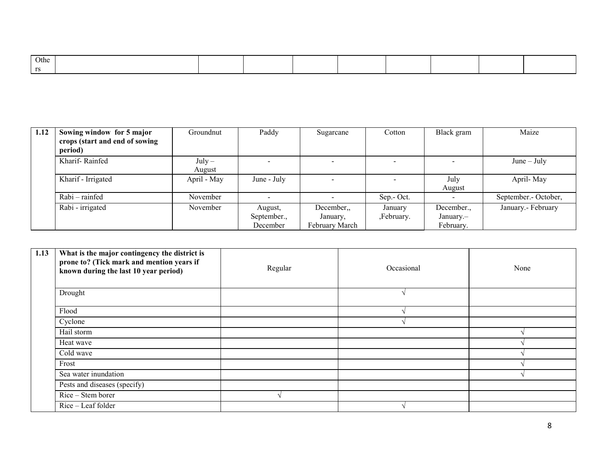| Othe |  |  |  |  |  |
|------|--|--|--|--|--|
|      |  |  |  |  |  |

| 1.12 | Sowing window for 5 major<br>crops (start and end of sowing<br>period) | Groundnut          | Paddy                              | Sugarcane                               | Cotton                | Black gram                           | Maize                |
|------|------------------------------------------------------------------------|--------------------|------------------------------------|-----------------------------------------|-----------------------|--------------------------------------|----------------------|
|      | Kharif-Rainfed                                                         | $July -$<br>August | $\overline{\phantom{0}}$           |                                         |                       |                                      | $June - July$        |
|      | Kharif - Irrigated                                                     | April - May        | June - July                        |                                         |                       | July<br>August                       | April-May            |
|      | Rabi – rainfed                                                         | November           |                                    |                                         | Sep.- Oct.            |                                      | September.- October, |
|      | Rabi - irrigated                                                       | November           | August,<br>September.,<br>December | December,<br>January,<br>February March | January<br>,February. | December.,<br>January.-<br>February. | January.- February   |

| 1.13 | What is the major contingency the district is<br>prone to? (Tick mark and mention years if<br>known during the last 10 year period) | Regular | Occasional | None |
|------|-------------------------------------------------------------------------------------------------------------------------------------|---------|------------|------|
|      | Drought                                                                                                                             |         |            |      |
|      | Flood                                                                                                                               |         |            |      |
|      | Cyclone                                                                                                                             |         |            |      |
|      | Hail storm                                                                                                                          |         |            |      |
|      | Heat wave                                                                                                                           |         |            |      |
|      | Cold wave                                                                                                                           |         |            |      |
|      | Frost                                                                                                                               |         |            |      |
|      | Sea water inundation                                                                                                                |         |            |      |
|      | Pests and diseases (specify)                                                                                                        |         |            |      |
|      | Rice – Stem borer                                                                                                                   |         |            |      |
|      | Rice – Leaf folder                                                                                                                  |         |            |      |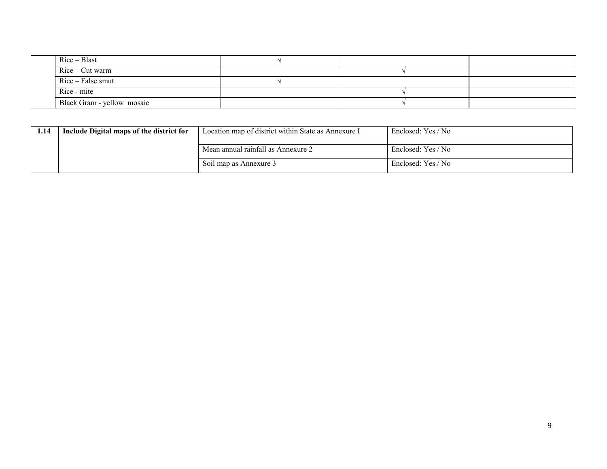| $Rice - Blast$             |  |  |
|----------------------------|--|--|
| $Rice-Cut warm$            |  |  |
| Rice – False smut          |  |  |
| Rice - mite                |  |  |
| Black Gram - yellow mosaic |  |  |

| 1.14 | Include Digital maps of the district for | Location map of district within State as Annexure I | Enclosed: Yes / No |
|------|------------------------------------------|-----------------------------------------------------|--------------------|
|      |                                          | Mean annual rainfall as Annexure 2                  | Enclosed: Yes / No |
|      |                                          | Soil map as Annexure 3                              | Enclosed: Yes / No |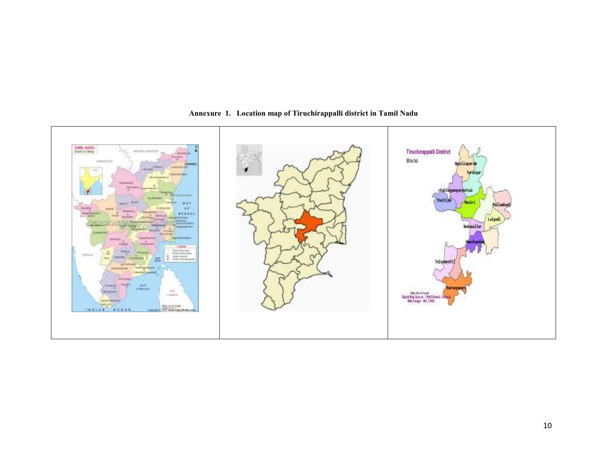

Annexure 1. Location map of Tiruchirappalli district in Tamil Nadu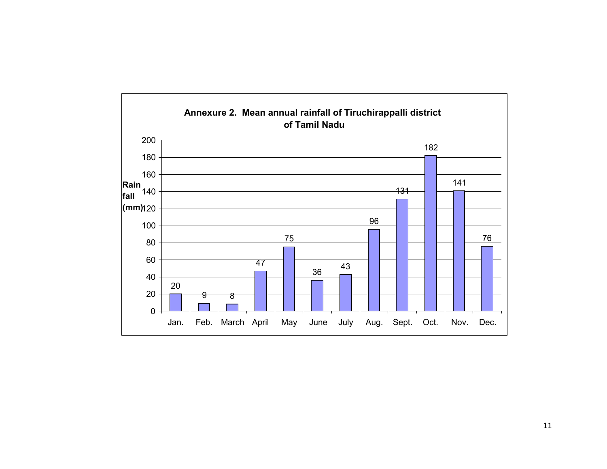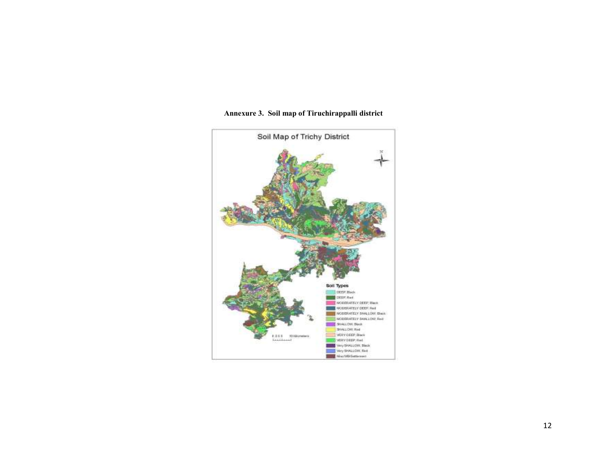

#### Annexure 3. Soil map of Tiruchirappalli district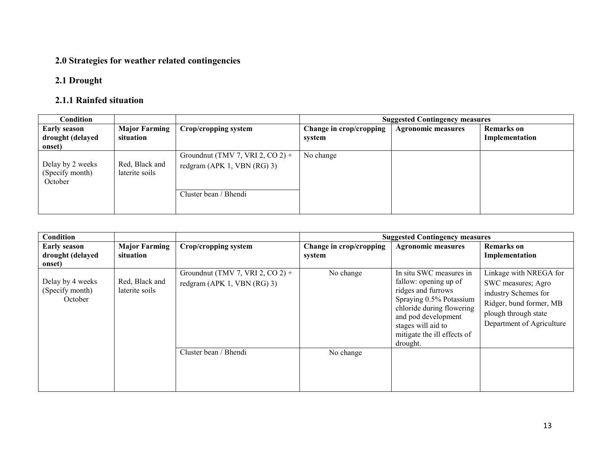#### 2.0 Strategies for weather related contingencies

#### 2.1 Drought

#### 2.1.1 Rainfed situation

| Condition                                         |                                   |                                                                                            |                                   | <b>Suggested Contingency measures</b> |                                     |
|---------------------------------------------------|-----------------------------------|--------------------------------------------------------------------------------------------|-----------------------------------|---------------------------------------|-------------------------------------|
| <b>Early season</b><br>drought (delayed<br>onset) | <b>Major Farming</b><br>situation | Crop/cropping system                                                                       | Change in crop/cropping<br>system | <b>Agronomic measures</b>             | <b>Remarks</b> on<br>Implementation |
| Delay by 2 weeks<br>(Specify month)<br>October    | Red, Black and<br>laterite soils  | Groundnut (TMV 7, VRI 2, CO 2) +<br>redgram (APK 1, VBN $(RG)$ 3)<br>Cluster bean / Bhendi | No change                         |                                       |                                     |

| <b>Condition</b>                                  |                                   |                                                                   |                                   | <b>Suggested Contingency measures</b>                                                                                                                                                                                  |                                                                                                                                                      |
|---------------------------------------------------|-----------------------------------|-------------------------------------------------------------------|-----------------------------------|------------------------------------------------------------------------------------------------------------------------------------------------------------------------------------------------------------------------|------------------------------------------------------------------------------------------------------------------------------------------------------|
| <b>Early season</b><br>drought (delayed<br>onset) | <b>Major Farming</b><br>situation | Crop/cropping system                                              | Change in crop/cropping<br>system | <b>Agronomic measures</b>                                                                                                                                                                                              | <b>Remarks</b> on<br>Implementation                                                                                                                  |
| Delay by 4 weeks<br>(Specify month)<br>October    | Red, Black and<br>laterite soils  | Groundnut (TMV 7, VRI 2, CO 2) +<br>redgram (APK 1, VBN $(RG)$ 3) | No change                         | In situ SWC measures in<br>fallow: opening up of<br>ridges and furrows<br>Spraying 0.5% Potassium<br>chloride during flowering<br>and pod development<br>stages will aid to<br>mitigate the ill effects of<br>drought. | Linkage with NREGA for<br>SWC measures; Agro<br>industry Schemes for<br>Ridger, bund former, MB<br>plough through state<br>Department of Agriculture |
|                                                   |                                   | Cluster bean / Bhendi                                             | No change                         |                                                                                                                                                                                                                        |                                                                                                                                                      |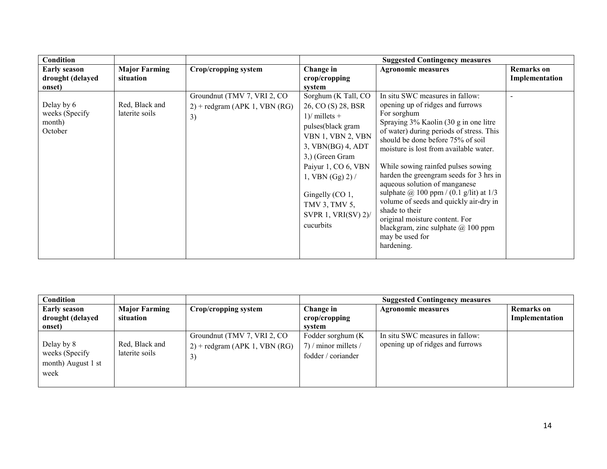| <b>Condition</b>    |                      |                                  |                        | <b>Suggested Contingency measures</b>                                       |                   |
|---------------------|----------------------|----------------------------------|------------------------|-----------------------------------------------------------------------------|-------------------|
| <b>Early season</b> | <b>Major Farming</b> | Crop/cropping system             | Change in              | <b>Agronomic measures</b>                                                   | <b>Remarks</b> on |
| drought (delayed    | situation            |                                  | crop/cropping          |                                                                             | Implementation    |
| onset)              |                      |                                  | system                 |                                                                             |                   |
|                     |                      | Groundnut (TMV 7, VRI 2, CO      | Sorghum (K Tall, CO    | In situ SWC measures in fallow:                                             |                   |
| Delay by 6          | Red, Black and       | $2$ ) + redgram (APK 1, VBN (RG) | 26, CO (S) 28, BSR     | opening up of ridges and furrows                                            |                   |
| weeks (Specify      | laterite soils       | 3)                               | $1$ )/ millets +       | For sorghum                                                                 |                   |
| month)              |                      |                                  | pulses(black gram      | Spraying 3% Kaolin (30 g in one litre                                       |                   |
| October             |                      |                                  | VBN 1, VBN 2, VBN      | of water) during periods of stress. This                                    |                   |
|                     |                      |                                  | 3, VBN(BG) 4, ADT      | should be done before 75% of soil<br>moisture is lost from available water. |                   |
|                     |                      |                                  | 3,) (Green Gram        |                                                                             |                   |
|                     |                      |                                  | Paiyur 1, CO 6, VBN    | While sowing rainfed pulses sowing                                          |                   |
|                     |                      |                                  |                        | harden the greengram seeds for 3 hrs in                                     |                   |
|                     |                      |                                  | 1, VBN $(Gg)$ 2) /     | aqueous solution of manganese                                               |                   |
|                     |                      |                                  | Gingelly (CO 1,        | sulphate $\omega$ 100 ppm / (0.1 g/lit) at 1/3                              |                   |
|                     |                      |                                  |                        | volume of seeds and quickly air-dry in                                      |                   |
|                     |                      |                                  | TMV 3, TMV 5,          | shade to their                                                              |                   |
|                     |                      |                                  | SVPR 1, VRI(SV) $2$ )/ | original moisture content. For                                              |                   |
|                     |                      |                                  | cucurbits              | blackgram, zinc sulphate $@100$ ppm                                         |                   |
|                     |                      |                                  |                        | may be used for                                                             |                   |
|                     |                      |                                  |                        | hardening.                                                                  |                   |
|                     |                      |                                  |                        |                                                                             |                   |

| <b>Condition</b>                                           |                                   |                                                                        |                                                                  | <b>Suggested Contingency measures</b>                               |                                     |
|------------------------------------------------------------|-----------------------------------|------------------------------------------------------------------------|------------------------------------------------------------------|---------------------------------------------------------------------|-------------------------------------|
| <b>Early season</b><br>drought (delayed<br>onset)          | <b>Major Farming</b><br>situation | Crop/cropping system                                                   | Change in<br>crop/cropping<br>system                             | <b>Agronomic measures</b>                                           | <b>Remarks</b> on<br>Implementation |
| Delay by 8<br>weeks (Specify<br>month) August 1 st<br>week | Red, Black and<br>laterite soils  | Groundnut (TMV 7, VRI 2, CO)<br>$2$ ) + redgram (APK 1, VBN (RG)<br>3) | Fodder sorghum (K)<br>7) / minor millets /<br>fodder / coriander | In situ SWC measures in fallow:<br>opening up of ridges and furrows |                                     |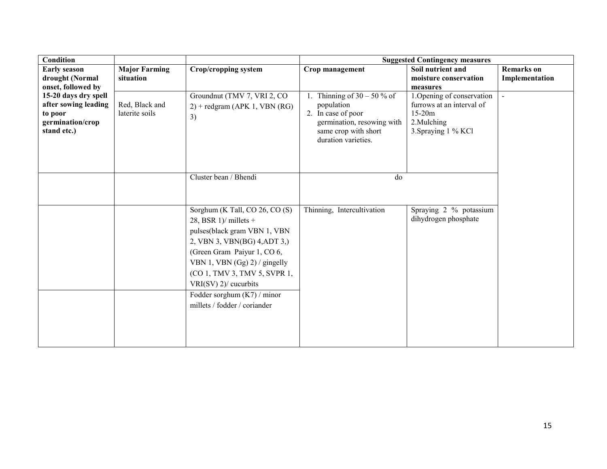| Condition                                                          |                                  |                                                                                                                                                                                                                                                                                                                        |                                                                                                               | <b>Suggested Contingency measures</b>                                       |                   |
|--------------------------------------------------------------------|----------------------------------|------------------------------------------------------------------------------------------------------------------------------------------------------------------------------------------------------------------------------------------------------------------------------------------------------------------------|---------------------------------------------------------------------------------------------------------------|-----------------------------------------------------------------------------|-------------------|
| <b>Early season</b>                                                | <b>Major Farming</b>             | Crop/cropping system                                                                                                                                                                                                                                                                                                   | Crop management                                                                                               | Soil nutrient and                                                           | <b>Remarks</b> on |
| drought (Normal                                                    | situation                        |                                                                                                                                                                                                                                                                                                                        |                                                                                                               | moisture conservation                                                       | Implementation    |
| onset, followed by<br>15-20 days dry spell                         |                                  | Groundnut (TMV 7, VRI 2, CO                                                                                                                                                                                                                                                                                            | Thinning of $30 - 50 %$ of                                                                                    | measures<br>1. Opening of conservation                                      | $\sim$            |
| after sowing leading<br>to poor<br>germination/crop<br>stand etc.) | Red, Black and<br>laterite soils | $2$ ) + redgram (APK 1, VBN (RG)<br>3)                                                                                                                                                                                                                                                                                 | population<br>2. In case of poor<br>germination, resowing with<br>same crop with short<br>duration varieties. | furrows at an interval of<br>$15-20m$<br>2. Mulching<br>3. Spraying 1 % KCl |                   |
|                                                                    |                                  | Cluster bean / Bhendi                                                                                                                                                                                                                                                                                                  | do                                                                                                            |                                                                             |                   |
|                                                                    |                                  | Sorghum (K Tall, CO 26, CO (S)<br>28, BSR $1$ )/ millets +<br>pulses(black gram VBN 1, VBN<br>2, VBN 3, VBN(BG) 4, ADT 3,)<br>(Green Gram Paiyur 1, CO 6,<br>VBN 1, VBN (Gg) 2) / gingelly<br>(CO 1, TMV 3, TMV 5, SVPR 1,<br>$VRI(SV)$ 2)/ cucurbits<br>Fodder sorghum $(K7)$ / minor<br>millets / fodder / coriander | Thinning, Intercultivation                                                                                    | Spraying 2 % potassium<br>dihydrogen phosphate                              |                   |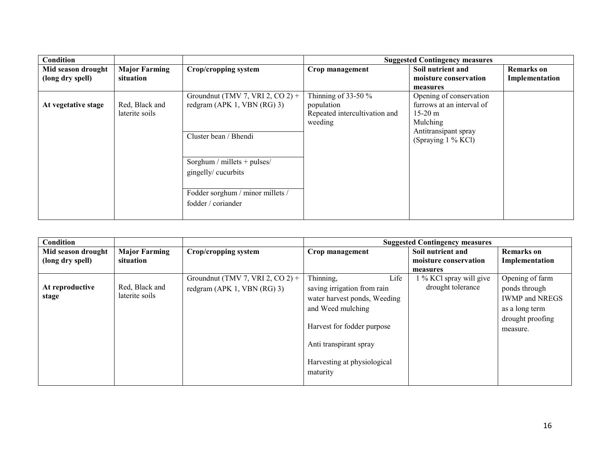| <b>Condition</b>                       |                                   |                                                                                            |                                                                                  | <b>Suggested Contingency measures</b>                                                                         |                                     |
|----------------------------------------|-----------------------------------|--------------------------------------------------------------------------------------------|----------------------------------------------------------------------------------|---------------------------------------------------------------------------------------------------------------|-------------------------------------|
| Mid season drought<br>(long dry spell) | <b>Major Farming</b><br>situation | Crop/cropping system                                                                       | Crop management                                                                  | Soil nutrient and<br>moisture conservation                                                                    | <b>Remarks</b> on<br>Implementation |
|                                        |                                   |                                                                                            |                                                                                  | measures                                                                                                      |                                     |
| At vegetative stage                    | Red, Black and<br>laterite soils  | Groundnut (TMV 7, VRI 2, CO 2) +<br>redgram (APK 1, VBN $(RG)$ 3)<br>Cluster bean / Bhendi | Thinning of 33-50 $\%$<br>population<br>Repeated intercultivation and<br>weeding | Opening of conservation<br>furrows at an interval of<br>$15-20 \text{ m}$<br>Mulching<br>Antitransipant spray |                                     |
|                                        |                                   | Sorghum / millets + pulses/<br>gingelly/cucurbits                                          |                                                                                  | (Spraying 1 % KCl)                                                                                            |                                     |
|                                        |                                   | Fodder sorghum / minor millets /<br>fodder / coriander                                     |                                                                                  |                                                                                                               |                                     |

| Condition          |                      |                                  |                                         | <b>Suggested Contingency measures</b> |                              |
|--------------------|----------------------|----------------------------------|-----------------------------------------|---------------------------------------|------------------------------|
| Mid season drought | <b>Major Farming</b> | Crop/cropping system             | Crop management                         | Soil nutrient and                     | <b>Remarks</b> on            |
| (long dry spell)   | situation            |                                  |                                         | moisture conservation                 | Implementation               |
|                    |                      |                                  |                                         | measures                              |                              |
|                    |                      | Groundnut (TMV 7, VRI 2, CO 2) + | Thinning,<br>Life                       | 1 % KCl spray will give               | Opening of farm              |
| At reproductive    | Red, Black and       | redgram (APK 1, VBN $(RG)$ 3)    | saving irrigation from rain             | drought tolerance                     | ponds through                |
| stage              | laterite soils       |                                  | water harvest ponds, Weeding            |                                       | <b>IWMP</b> and NREGS        |
|                    |                      |                                  | and Weed mulching                       |                                       | as a long term               |
|                    |                      |                                  | Harvest for fodder purpose              |                                       | drought proofing<br>measure. |
|                    |                      |                                  | Anti transpirant spray                  |                                       |                              |
|                    |                      |                                  | Harvesting at physiological<br>maturity |                                       |                              |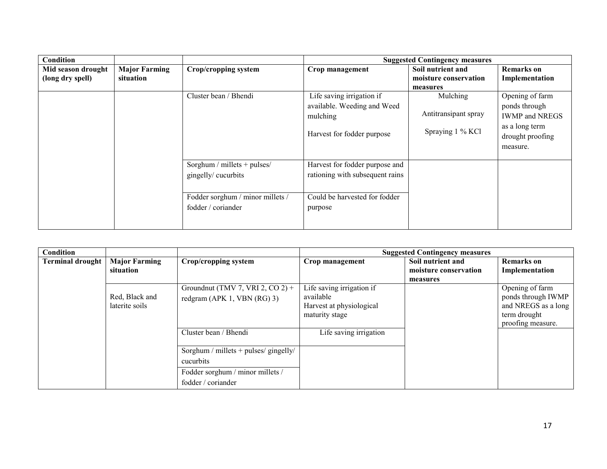| <b>Condition</b>   |                      |                                  |                                 | <b>Suggested Contingency measures</b> |                       |
|--------------------|----------------------|----------------------------------|---------------------------------|---------------------------------------|-----------------------|
| Mid season drought | <b>Major Farming</b> | Crop/cropping system             | Crop management                 | Soil nutrient and                     | <b>Remarks</b> on     |
| (long dry spell)   | situation            |                                  |                                 | moisture conservation                 | Implementation        |
|                    |                      |                                  |                                 | measures                              |                       |
|                    |                      | Cluster bean / Bhendi            | Life saving irrigation if       | Mulching                              | Opening of farm       |
|                    |                      |                                  | available. Weeding and Weed     |                                       | ponds through         |
|                    |                      |                                  | mulching                        | Antitransipant spray                  | <b>IWMP</b> and NREGS |
|                    |                      |                                  |                                 |                                       | as a long term        |
|                    |                      |                                  | Harvest for fodder purpose      | Spraying 1 % KCl                      | drought proofing      |
|                    |                      |                                  |                                 |                                       | measure.              |
|                    |                      |                                  |                                 |                                       |                       |
|                    |                      | Sorghum / millets + pulses/      | Harvest for fodder purpose and  |                                       |                       |
|                    |                      | gingelly/cucurbits               | rationing with subsequent rains |                                       |                       |
|                    |                      |                                  |                                 |                                       |                       |
|                    |                      | Fodder sorghum / minor millets / | Could be harvested for fodder   |                                       |                       |
|                    |                      | fodder / coriander               | purpose                         |                                       |                       |
|                    |                      |                                  |                                 |                                       |                       |
|                    |                      |                                  |                                 |                                       |                       |

| <b>Condition</b> |                      |                                       |                           | <b>Suggested Contingency measures</b> |                     |
|------------------|----------------------|---------------------------------------|---------------------------|---------------------------------------|---------------------|
| Terminal drought | <b>Major Farming</b> | Crop/cropping system                  | Crop management           | Soil nutrient and                     | <b>Remarks</b> on   |
|                  | situation            |                                       |                           | moisture conservation                 | Implementation      |
|                  |                      |                                       |                           | measures                              |                     |
|                  |                      | Groundnut (TMV 7, VRI 2, CO 2) +      | Life saving irrigation if |                                       | Opening of farm     |
|                  | Red, Black and       | redgram (APK 1, VBN $(RG)$ 3)         | available                 |                                       | ponds through IWMP  |
|                  | laterite soils       |                                       | Harvest at physiological  |                                       | and NREGS as a long |
|                  |                      |                                       | maturity stage            |                                       | term drought        |
|                  |                      |                                       |                           |                                       | proofing measure.   |
|                  |                      | Cluster bean / Bhendi                 | Life saving irrigation    |                                       |                     |
|                  |                      |                                       |                           |                                       |                     |
|                  |                      | Sorghum / millets + pulses/ gingelly/ |                           |                                       |                     |
|                  |                      | cucurbits                             |                           |                                       |                     |
|                  |                      | Fodder sorghum / minor millets /      |                           |                                       |                     |
|                  |                      | fodder / coriander                    |                           |                                       |                     |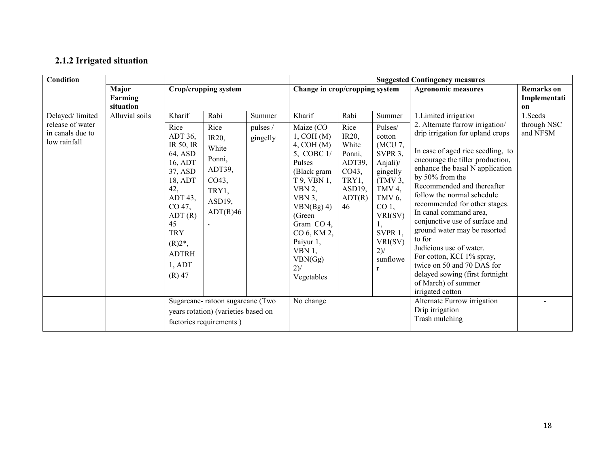### 2.1.2 Irrigated situation

| <b>Condition</b>                                                        |                               |                                                                                                                                                                                                    |                                                                                                                        |                                | <b>Suggested Contingency measures</b>                                                                                                                                                                                                          |                                                                                                |                                                                                                                                                                                                                 |                                                                                                                                                                                                                                                                                                                                                                                                                                                                                                                                                                                                    |                                         |
|-------------------------------------------------------------------------|-------------------------------|----------------------------------------------------------------------------------------------------------------------------------------------------------------------------------------------------|------------------------------------------------------------------------------------------------------------------------|--------------------------------|------------------------------------------------------------------------------------------------------------------------------------------------------------------------------------------------------------------------------------------------|------------------------------------------------------------------------------------------------|-----------------------------------------------------------------------------------------------------------------------------------------------------------------------------------------------------------------|----------------------------------------------------------------------------------------------------------------------------------------------------------------------------------------------------------------------------------------------------------------------------------------------------------------------------------------------------------------------------------------------------------------------------------------------------------------------------------------------------------------------------------------------------------------------------------------------------|-----------------------------------------|
|                                                                         | Major<br>Farming<br>situation |                                                                                                                                                                                                    | Crop/cropping system                                                                                                   |                                | Change in crop/cropping system                                                                                                                                                                                                                 |                                                                                                |                                                                                                                                                                                                                 | <b>Agronomic measures</b>                                                                                                                                                                                                                                                                                                                                                                                                                                                                                                                                                                          | <b>Remarks</b> on<br>Implementati<br>on |
| Delayed/limited<br>release of water<br>in canals due to<br>low rainfall | Alluvial soils                | Kharif<br>Rice<br>ADT 36,<br>IR 50, IR<br>64, ASD<br>16, ADT<br>37, ASD<br>18, ADT<br>42,<br>$ADT$ 43,<br>CO 47,<br>ADT(R)<br>45<br><b>TRY</b><br>$(R)2^*$ ,<br><b>ADTRH</b><br>1, ADT<br>$(R)$ 47 | Rabi<br>Rice<br>IR20,<br>White<br>Ponni,<br>ADT39,<br>CO43,<br>TRY1,<br>ASD19,<br>ADT(R)46<br>$\overline{\phantom{a}}$ | Summer<br>pulses /<br>gingelly | Kharif<br>Maize (CO<br>1, COH(M)<br>4, COH(M)<br>5, COBC 1/<br>Pulses<br>(Black gram<br>T 9, VBN 1,<br>VBN $2$ ,<br>VBN $3$ ,<br>VBN(Bg) 4)<br>(Green<br>Gram CO 4,<br>CO 6, KM 2,<br>Paiyur 1,<br>VBN $1,$<br>VBN(Gg)<br>$2)$ /<br>Vegetables | Rabi<br>Rice<br>IR20,<br>White<br>Ponni,<br>ADT39,<br>CO43,<br>TRY1,<br>ASD19,<br>ADT(R)<br>46 | Summer<br>Pulses/<br>cotton<br>(MCU 7,<br>SVPR 3,<br>Anjali)/<br>gingelly<br>(TMV3,<br>TMV 4,<br>TMV <sub>6</sub> ,<br>CO <sub>1</sub><br>VRI(SV)<br>$\mathbf{I}$ ,<br>SVPR 1,<br>VRI(SV)<br>$2)$ /<br>sunflowe | 1. Limited irrigation<br>2. Alternate furrow irrigation/<br>drip irrigation for upland crops<br>In case of aged rice seedling, to<br>encourage the tiller production,<br>enhance the basal N application<br>by 50% from the<br>Recommended and thereafter<br>follow the normal schedule<br>recommended for other stages.<br>In canal command area,<br>conjunctive use of surface and<br>ground water may be resorted<br>to for<br>Judicious use of water.<br>For cotton, KCI 1% spray,<br>twice on 50 and 70 DAS for<br>delayed sowing (first fortnight<br>of March) of summer<br>irrigated cotton | 1. Seeds<br>through NSC<br>and NFSM     |
|                                                                         |                               |                                                                                                                                                                                                    | Sugarcane-ratoon sugarcane (Two<br>years rotation) (varieties based on<br>factories requirements)                      |                                | No change                                                                                                                                                                                                                                      |                                                                                                |                                                                                                                                                                                                                 | Alternate Furrow irrigation<br>Drip irrigation<br>Trash mulching                                                                                                                                                                                                                                                                                                                                                                                                                                                                                                                                   |                                         |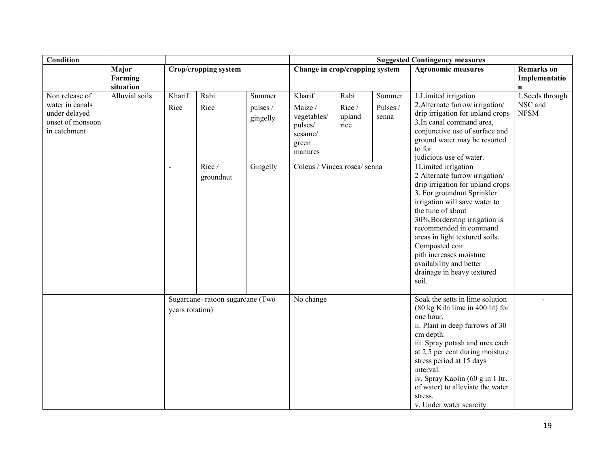| Condition                                                            |                               |                 |                                 |                      | <b>Suggested Contingency measures</b>                            |                         |                                                                                                                                                                                                                                                                                                                                                                                            |                                                                                                                                                                                                                                                                                                                                                               |                                                    |
|----------------------------------------------------------------------|-------------------------------|-----------------|---------------------------------|----------------------|------------------------------------------------------------------|-------------------------|--------------------------------------------------------------------------------------------------------------------------------------------------------------------------------------------------------------------------------------------------------------------------------------------------------------------------------------------------------------------------------------------|---------------------------------------------------------------------------------------------------------------------------------------------------------------------------------------------------------------------------------------------------------------------------------------------------------------------------------------------------------------|----------------------------------------------------|
|                                                                      | Major<br>Farming<br>situation |                 | Crop/cropping system            |                      | Change in crop/cropping system                                   |                         |                                                                                                                                                                                                                                                                                                                                                                                            | <b>Agronomic measures</b>                                                                                                                                                                                                                                                                                                                                     | <b>Remarks</b> on<br>Implementatio<br>$\mathbf{n}$ |
| Non release of                                                       | Alluvial soils                | Kharif          | Rabi                            | Summer               | Kharif                                                           | Rabi                    | Summer                                                                                                                                                                                                                                                                                                                                                                                     | 1. Limited irrigation                                                                                                                                                                                                                                                                                                                                         | 1. Seeds through                                   |
| water in canals<br>under delayed<br>onset of monsoon<br>in catchment |                               | Rice            | Rice                            | pulses /<br>gingelly | Maize /<br>vegetables/<br>pulses/<br>sesame/<br>green<br>manures | Rice/<br>upland<br>rice | Pulses /<br>senna                                                                                                                                                                                                                                                                                                                                                                          | 2. Alternate furrow irrigation/<br>drip irrigation for upland crops<br>3. In canal command area,<br>conjunctive use of surface and<br>ground water may be resorted<br>to for<br>judicious use of water.                                                                                                                                                       | NSC and<br><b>NFSM</b>                             |
|                                                                      |                               | $\overline{a}$  | Rice/<br>groundnut              | Gingelly             | Coleus / Vincea rosea/ senna                                     |                         | 1Limited irrigation<br>2 Alternate furrow irrigation/<br>drip irrigation for upland crops<br>3. For groundnut Sprinkler<br>irrigation will save water to<br>the tune of about<br>30%. Borderstrip irrigation is<br>recommended in command<br>areas in light textured soils.<br>Composted coir<br>pith increases moisture<br>availability and better<br>drainage in heavy textured<br>soil. |                                                                                                                                                                                                                                                                                                                                                               |                                                    |
|                                                                      |                               | years rotation) | Sugarcane-ratoon sugarcane (Two |                      | No change                                                        |                         |                                                                                                                                                                                                                                                                                                                                                                                            | Soak the setts in lime solution<br>(80 kg Kiln lime in 400 lit) for<br>one hour.<br>ii. Plant in deep furrows of 30<br>cm depth.<br>iii. Spray potash and urea each<br>at 2.5 per cent during moisture<br>stress period at 15 days<br>interval.<br>iv. Spray Kaolin (60 g in 1 ltr.<br>of water) to alleviate the water<br>stress.<br>v. Under water scarcity |                                                    |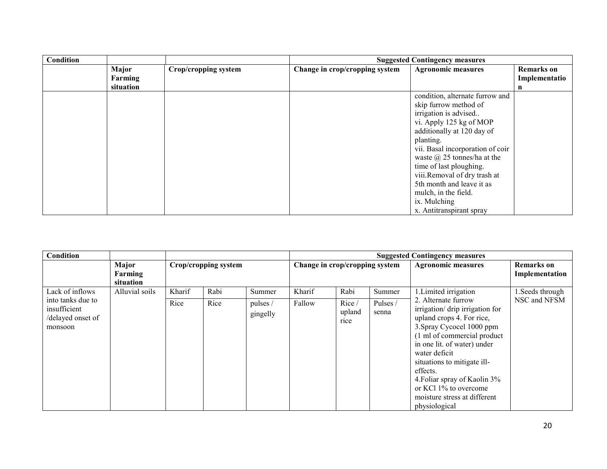| <b>Condition</b> |           |                      | <b>Suggested Contingency measures</b> |                                    |                   |  |  |
|------------------|-----------|----------------------|---------------------------------------|------------------------------------|-------------------|--|--|
|                  | Major     | Crop/cropping system | Change in crop/cropping system        | <b>Agronomic measures</b>          | <b>Remarks</b> on |  |  |
|                  | Farming   |                      |                                       |                                    | Implementatio     |  |  |
|                  | situation |                      |                                       |                                    | n                 |  |  |
|                  |           |                      |                                       | condition, alternate furrow and    |                   |  |  |
|                  |           |                      |                                       | skip furrow method of              |                   |  |  |
|                  |           |                      |                                       | irrigation is advised              |                   |  |  |
|                  |           |                      |                                       | vi. Apply 125 kg of MOP            |                   |  |  |
|                  |           |                      |                                       | additionally at 120 day of         |                   |  |  |
|                  |           |                      |                                       | planting.                          |                   |  |  |
|                  |           |                      |                                       | vii. Basal incorporation of coir   |                   |  |  |
|                  |           |                      |                                       | waste $\omega$ 25 tonnes/ha at the |                   |  |  |
|                  |           |                      |                                       | time of last ploughing.            |                   |  |  |
|                  |           |                      |                                       | viii.Removal of dry trash at       |                   |  |  |
|                  |           |                      |                                       | 5th month and leave it as          |                   |  |  |
|                  |           |                      |                                       | mulch, in the field.               |                   |  |  |
|                  |           |                      |                                       | ix. Mulching                       |                   |  |  |
|                  |           |                      |                                       | x. Antitranspirant spray           |                   |  |  |

| <b>Condition</b>                                                                     |                               |                      |              |                                | <b>Suggested Contingency measures</b> |                                 |                             |                                                                                                                                                                                                                                                                                                                                                                              |                                  |
|--------------------------------------------------------------------------------------|-------------------------------|----------------------|--------------|--------------------------------|---------------------------------------|---------------------------------|-----------------------------|------------------------------------------------------------------------------------------------------------------------------------------------------------------------------------------------------------------------------------------------------------------------------------------------------------------------------------------------------------------------------|----------------------------------|
|                                                                                      | Major<br>Farming<br>situation | Crop/cropping system |              |                                | Change in crop/cropping system        |                                 | <b>Agronomic measures</b>   | <b>Remarks</b> on<br>Implementation                                                                                                                                                                                                                                                                                                                                          |                                  |
| Lack of inflows<br>into tanks due to<br>insufficient<br>/delayed onset of<br>monsoon | Alluvial soils                | Kharif<br>Rice       | Rabi<br>Rice | Summer<br>pulses /<br>gingelly | Kharif<br>Fallow                      | Rabi<br>Rice/<br>upland<br>rice | Summer<br>Pulses /<br>senna | 1. Limited irrigation<br>2. Alternate furrow<br>irrigation/drip irrigation for<br>upland crops 4. For rice,<br>3. Spray Cycocel 1000 ppm<br>(1 ml of commercial product<br>in one lit. of water) under<br>water deficit<br>situations to mitigate ill-<br>effects.<br>4. Foliar spray of Kaolin 3%<br>or KCl 1% to overcome<br>moisture stress at different<br>physiological | 1. Seeds through<br>NSC and NFSM |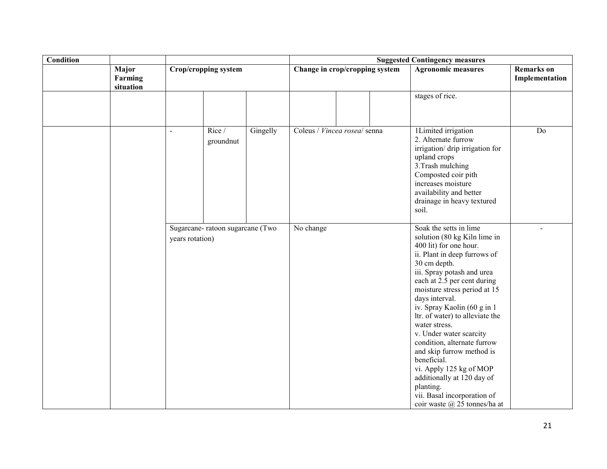| <b>Condition</b> |                               |                 |                                 |          | <b>Suggested Contingency measures</b> |  |                                                                                                                                                                                                                                                                                                                                                                                                                                                                                                                                                                                |                                     |  |
|------------------|-------------------------------|-----------------|---------------------------------|----------|---------------------------------------|--|--------------------------------------------------------------------------------------------------------------------------------------------------------------------------------------------------------------------------------------------------------------------------------------------------------------------------------------------------------------------------------------------------------------------------------------------------------------------------------------------------------------------------------------------------------------------------------|-------------------------------------|--|
|                  | Major<br>Farming<br>situation |                 | Crop/cropping system            |          | Change in crop/cropping system        |  | <b>Agronomic measures</b>                                                                                                                                                                                                                                                                                                                                                                                                                                                                                                                                                      | <b>Remarks</b> on<br>Implementation |  |
|                  |                               |                 |                                 |          |                                       |  |                                                                                                                                                                                                                                                                                                                                                                                                                                                                                                                                                                                | stages of rice.                     |  |
|                  |                               | $\blacksquare$  | Rice/<br>groundnut              | Gingelly | Coleus / Vincea rosea/ senna          |  | 1Limited irrigation<br>2. Alternate furrow<br>irrigation/ drip irrigation for<br>upland crops<br>3. Trash mulching<br>Composted coir pith<br>increases moisture<br>availability and better<br>drainage in heavy textured<br>soil.                                                                                                                                                                                                                                                                                                                                              | Do                                  |  |
|                  |                               | years rotation) | Sugarcane-ratoon sugarcane (Two |          | No change                             |  | Soak the setts in lime<br>solution (80 kg Kiln lime in<br>400 lit) for one hour.<br>ii. Plant in deep furrows of<br>30 cm depth.<br>iii. Spray potash and urea<br>each at 2.5 per cent during<br>moisture stress period at 15<br>days interval.<br>iv. Spray Kaolin (60 g in 1)<br>ltr. of water) to alleviate the<br>water stress.<br>v. Under water scarcity<br>condition, alternate furrow<br>and skip furrow method is<br>beneficial.<br>vi. Apply 125 kg of MOP<br>additionally at 120 day of<br>planting.<br>vii. Basal incorporation of<br>coir waste @ 25 tonnes/ha at |                                     |  |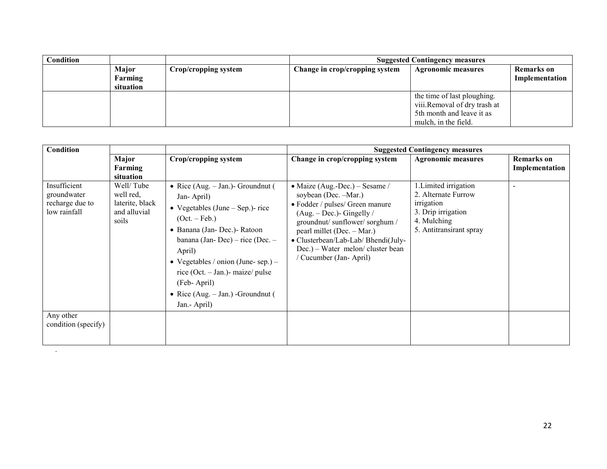| Condition |                                                       |  | <b>Suggested Contingency measures</b> |                                                                                                                  |                                     |  |  |
|-----------|-------------------------------------------------------|--|---------------------------------------|------------------------------------------------------------------------------------------------------------------|-------------------------------------|--|--|
|           | Major<br>Crop/cropping system<br>Farming<br>situation |  | Change in crop/cropping system        | <b>Agronomic measures</b>                                                                                        | <b>Remarks</b> on<br>Implementation |  |  |
|           |                                                       |  |                                       | the time of last ploughing.<br>viii.Removal of dry trash at<br>5th month and leave it as<br>mulch, in the field. |                                     |  |  |

| Condition                                                      |                                                                     |                                                                                                                                                                                                                                                                                                                                                | <b>Suggested Contingency measures</b>                                                                                                                                                                                                                                                      |                                                                                                                            |                                     |  |  |
|----------------------------------------------------------------|---------------------------------------------------------------------|------------------------------------------------------------------------------------------------------------------------------------------------------------------------------------------------------------------------------------------------------------------------------------------------------------------------------------------------|--------------------------------------------------------------------------------------------------------------------------------------------------------------------------------------------------------------------------------------------------------------------------------------------|----------------------------------------------------------------------------------------------------------------------------|-------------------------------------|--|--|
|                                                                | Major<br>Farming<br>situation                                       | Crop/cropping system                                                                                                                                                                                                                                                                                                                           | Change in crop/cropping system                                                                                                                                                                                                                                                             | <b>Agronomic measures</b>                                                                                                  | <b>Remarks</b> on<br>Implementation |  |  |
| Insufficient<br>groundwater<br>recharge due to<br>low rainfall | Well/ Tube<br>well red.<br>laterite, black<br>and alluvial<br>soils | • Rice (Aug. $-$ Jan.) - Groundnut (<br>Jan-April)<br>• Vegetables (June $-$ Sep.)- rice<br>$(Oct. - Feb.)$<br>• Banana (Jan- Dec.) - Ratoon<br>banana (Jan-Dec) – rice (Dec. –<br>April)<br>• Vegetables / onion (June-sep.) –<br>rice (Oct. $-$ Jan.) $-$ maize/ pulse<br>(Feb-April)<br>• Rice $(Aug. – Jan.)$ -Groundnut (<br>Jan.- April) | • Maize (Aug.-Dec.) – Sesame /<br>soybean (Dec. -Mar.)<br>• Fodder / pulses/ Green manure<br>$(Aug. - Dec.)$ - Gingelly /<br>groundnut/sunflower/sorghum/<br>pearl millet (Dec. - Mar.)<br>• Clusterbean/Lab-Lab/ Bhendi(July-<br>Dec.) – Water melon/cluster bean<br>Cucumber (Jan-April) | 1. Limited irrigation<br>2. Alternate Furrow<br>irrigation<br>3. Drip irrigation<br>4. Mulching<br>5. Antitransirant spray |                                     |  |  |
| Any other<br>condition (specify)                               |                                                                     |                                                                                                                                                                                                                                                                                                                                                |                                                                                                                                                                                                                                                                                            |                                                                                                                            |                                     |  |  |

.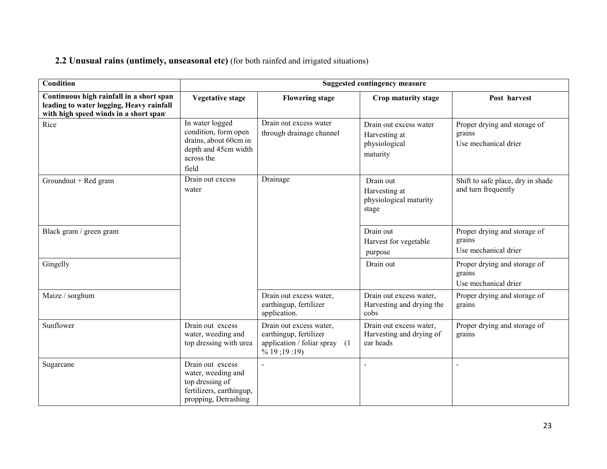#### **2.2 Unusual rains (untimely, unseasonal etc)** (for both rainfed and irrigated situations)

| Condition                                                                                                                     | <b>Suggested contingency measure</b>                                                                            |                                                                                                                   |                                                                      |                                                                |  |  |
|-------------------------------------------------------------------------------------------------------------------------------|-----------------------------------------------------------------------------------------------------------------|-------------------------------------------------------------------------------------------------------------------|----------------------------------------------------------------------|----------------------------------------------------------------|--|--|
| Continuous high rainfall in a short span<br>leading to water logging, Heavy rainfall<br>with high speed winds in a short span | <b>Vegetative stage</b>                                                                                         | <b>Flowering stage</b>                                                                                            | Crop maturity stage                                                  | Post harvest                                                   |  |  |
| Rice                                                                                                                          | In water logged<br>condition, form open<br>drains, about 60cm in<br>depth and 45cm width<br>across the<br>field | Drain out excess water<br>through drainage channel                                                                | Drain out excess water<br>Harvesting at<br>physiological<br>maturity | Proper drying and storage of<br>grains<br>Use mechanical drier |  |  |
| Groundnut + Red gram                                                                                                          | Drain out excess<br>water                                                                                       | Drainage                                                                                                          | Drain out<br>Harvesting at<br>physiological maturity<br>stage        | Shift to safe place, dry in shade<br>and turn frequently       |  |  |
| Black gram / green gram                                                                                                       |                                                                                                                 |                                                                                                                   | Drain out<br>Harvest for vegetable<br>purpose                        | Proper drying and storage of<br>grains<br>Use mechanical drier |  |  |
| Gingelly                                                                                                                      |                                                                                                                 |                                                                                                                   | Drain out                                                            | Proper drying and storage of<br>grains<br>Use mechanical drier |  |  |
| Maize / sorghum                                                                                                               |                                                                                                                 | Drain out excess water,<br>earthingup, fertilizer<br>application.                                                 | Drain out excess water,<br>Harvesting and drying the<br>cobs         | Proper drying and storage of<br>grains                         |  |  |
| Sunflower                                                                                                                     | Drain out excess<br>water, weeding and<br>top dressing with urea                                                | Drain out excess water,<br>earthingup, fertilizer<br>application / foliar spray (1<br>$\frac{9}{6}$ 19 ; 19 : 19) | Drain out excess water,<br>Harvesting and drying of<br>ear heads     | Proper drying and storage of<br>grains                         |  |  |
| Sugarcane                                                                                                                     | Drain out excess<br>water, weeding and<br>top dressing of<br>fertilizers, earthingup,<br>propping, Detrashing   | $\overline{a}$                                                                                                    | $\overline{a}$                                                       | $\overline{a}$                                                 |  |  |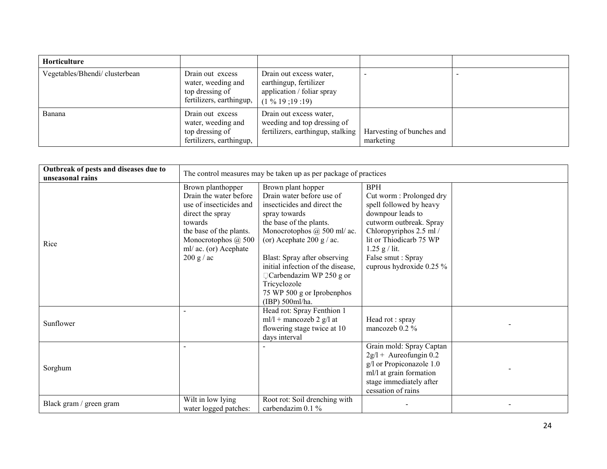| Horticulture                  |                                                                                       |                                                                                                    |                                        |  |
|-------------------------------|---------------------------------------------------------------------------------------|----------------------------------------------------------------------------------------------------|----------------------------------------|--|
| Vegetables/Bhendi/clusterbean | Drain out excess<br>water, weeding and<br>top dressing of<br>fertilizers, earthingup, | Drain out excess water,<br>earthingup, fertilizer<br>application / foliar spray<br>$(1\%19:19:19)$ |                                        |  |
| Banana                        | Drain out excess<br>water, weeding and<br>top dressing of<br>fertilizers, earthingup, | Drain out excess water,<br>weeding and top dressing of<br>fertilizers, earthingup, stalking        | Harvesting of bunches and<br>marketing |  |

| Outbreak of pests and diseases due to<br>unseasonal rains |                                                                                                                                                                                                | The control measures may be taken up as per package of practices                                                                                                                                                                                                                                                                                               |                                                                                                                                                                                                                                            |  |
|-----------------------------------------------------------|------------------------------------------------------------------------------------------------------------------------------------------------------------------------------------------------|----------------------------------------------------------------------------------------------------------------------------------------------------------------------------------------------------------------------------------------------------------------------------------------------------------------------------------------------------------------|--------------------------------------------------------------------------------------------------------------------------------------------------------------------------------------------------------------------------------------------|--|
| Rice                                                      | Brown planthopper<br>Drain the water before<br>use of insecticides and<br>direct the spray<br>towards<br>the base of the plants.<br>Monocrotophos @ 500<br>ml/ ac. (or) Acephate<br>200 g / ac | Brown plant hopper<br>Drain water before use of<br>insecticides and direct the<br>spray towards<br>the base of the plants.<br>Monocrotophos @ 500 ml/ ac.<br>(or) Acephate 200 g / ac.<br>Blast: Spray after observing<br>initial infection of the disease,<br>$\Box$ Carbendazim WP 250 g or<br>Tricyclozole<br>75 WP 500 g or Iprobenphos<br>(IBP) 500ml/ha. | <b>BPH</b><br>Cut worm: Prolonged dry<br>spell followed by heavy<br>downpour leads to<br>cutworm outbreak. Spray<br>Chloropyriphos 2.5 ml /<br>lit or Thiodicarb 75 WP<br>$1.25$ g / lit.<br>False smut: Spray<br>cuprous hydroxide 0.25 % |  |
| Sunflower                                                 | $\overline{\phantom{a}}$                                                                                                                                                                       | Head rot: Spray Fenthion 1<br>$ml/l + mancozeb 2 g/l$ at<br>flowering stage twice at 10<br>days interval                                                                                                                                                                                                                                                       | Head rot: spray<br>mancozeb 0.2 %                                                                                                                                                                                                          |  |
| Sorghum                                                   |                                                                                                                                                                                                |                                                                                                                                                                                                                                                                                                                                                                | Grain mold: Spray Captan<br>$2g/l +$ Aureofungin 0.2<br>g/l or Propiconazole 1.0<br>ml/l at grain formation<br>stage immediately after<br>cessation of rains                                                                               |  |
| Black gram / green gram                                   | Wilt in low lying<br>water logged patches:                                                                                                                                                     | Root rot: Soil drenching with<br>carbendazim 0.1 %                                                                                                                                                                                                                                                                                                             |                                                                                                                                                                                                                                            |  |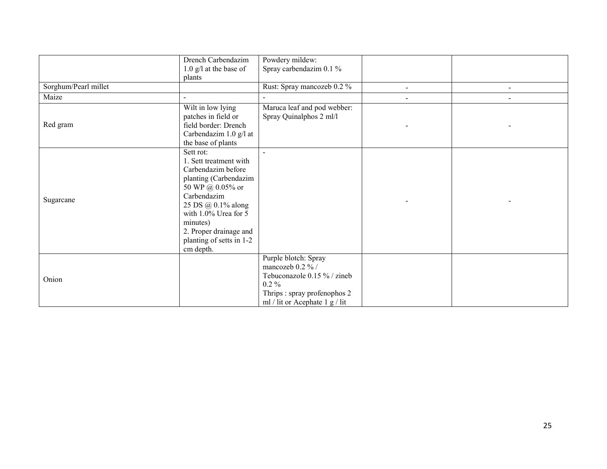|                      | Drench Carbendazim       | Powdery mildew:                |                |  |
|----------------------|--------------------------|--------------------------------|----------------|--|
|                      | $1.0$ g/l at the base of | Spray carbendazim 0.1 %        |                |  |
|                      | plants                   |                                |                |  |
| Sorghum/Pearl millet |                          | Rust: Spray mancozeb 0.2 %     | $\blacksquare$ |  |
| Maize                | $\sim$                   |                                |                |  |
|                      | Wilt in low lying        | Maruca leaf and pod webber:    |                |  |
|                      | patches in field or      | Spray Quinalphos 2 ml/l        |                |  |
| Red gram             | field border: Drench     |                                |                |  |
|                      | Carbendazim 1.0 g/l at   |                                |                |  |
|                      | the base of plants       |                                |                |  |
|                      | Sett rot:                |                                |                |  |
|                      | 1. Sett treatment with   |                                |                |  |
|                      | Carbendazim before       |                                |                |  |
|                      | planting (Carbendazim    |                                |                |  |
|                      | 50 WP @ 0.05% or         |                                |                |  |
| Sugarcane            | Carbendazim              |                                |                |  |
|                      | 25 DS @ 0.1% along       |                                |                |  |
|                      | with 1.0% Urea for 5     |                                |                |  |
|                      | minutes)                 |                                |                |  |
|                      | 2. Proper drainage and   |                                |                |  |
|                      | planting of setts in 1-2 |                                |                |  |
|                      | cm depth.                |                                |                |  |
|                      |                          | Purple blotch: Spray           |                |  |
|                      |                          | mancozeb 0.2 % /               |                |  |
| Onion                |                          | Tebuconazole 0.15 % / zineb    |                |  |
|                      |                          | $0.2\%$                        |                |  |
|                      |                          | Thrips: spray profenophos 2    |                |  |
|                      |                          | ml / lit or Acephate 1 g / lit |                |  |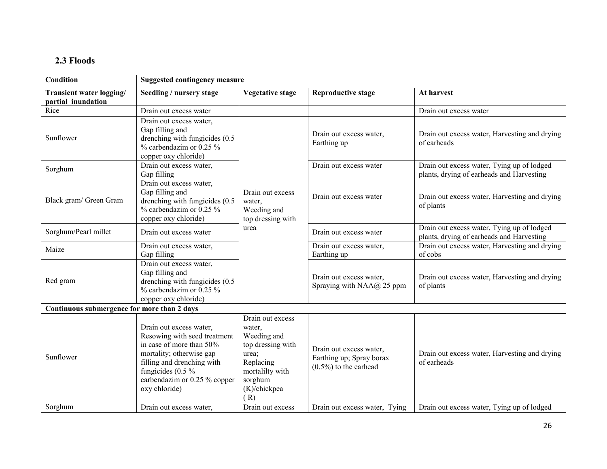### 2.3 Floods

| <b>Condition</b>                               | <b>Suggested contingency measure</b>                                                                                                                                                                                  |                                                                                                                                           |                                                                                 |                                                                                         |
|------------------------------------------------|-----------------------------------------------------------------------------------------------------------------------------------------------------------------------------------------------------------------------|-------------------------------------------------------------------------------------------------------------------------------------------|---------------------------------------------------------------------------------|-----------------------------------------------------------------------------------------|
| Transient water logging/<br>partial inundation | Seedling / nursery stage                                                                                                                                                                                              | <b>Vegetative stage</b>                                                                                                                   | <b>Reproductive stage</b>                                                       | At harvest                                                                              |
| Rice                                           | Drain out excess water                                                                                                                                                                                                |                                                                                                                                           |                                                                                 | Drain out excess water                                                                  |
| Sunflower                                      | Drain out excess water,<br>Gap filling and<br>drenching with fungicides (0.5)<br>$\%$ carbendazim or 0.25 $\%$<br>copper oxy chloride)                                                                                |                                                                                                                                           | Drain out excess water,<br>Earthing up                                          | Drain out excess water, Harvesting and drying<br>of earheads                            |
| Sorghum                                        | Drain out excess water,<br>Gap filling                                                                                                                                                                                |                                                                                                                                           | Drain out excess water                                                          | Drain out excess water, Tying up of lodged<br>plants, drying of earheads and Harvesting |
| Black gram/ Green Gram                         | Drain out excess water,<br>Gap filling and<br>drenching with fungicides (0.5)<br>$%$ carbendazim or 0.25 $%$<br>copper oxy chloride)                                                                                  | Drain out excess<br>water,<br>Weeding and<br>top dressing with                                                                            | Drain out excess water                                                          | Drain out excess water, Harvesting and drying<br>of plants                              |
| Sorghum/Pearl millet                           | Drain out excess water                                                                                                                                                                                                | urea                                                                                                                                      | Drain out excess water                                                          | Drain out excess water, Tying up of lodged<br>plants, drying of earheads and Harvesting |
| Maize                                          | Drain out excess water,<br>Gap filling                                                                                                                                                                                |                                                                                                                                           | Drain out excess water,<br>Earthing up                                          | Drain out excess water, Harvesting and drying<br>of cobs                                |
| Red gram                                       | Drain out excess water,<br>Gap filling and<br>drenching with fungicides (0.5)<br>$%$ carbendazim or 0.25 $%$<br>copper oxy chloride)                                                                                  |                                                                                                                                           | Drain out excess water,<br>Spraying with NAA@ 25 ppm                            | Drain out excess water, Harvesting and drying<br>of plants                              |
| Continuous submergence for more than 2 days    |                                                                                                                                                                                                                       |                                                                                                                                           |                                                                                 |                                                                                         |
| Sunflower                                      | Drain out excess water,<br>Resowing with seed treatment<br>in case of more than 50%<br>mortality; otherwise gap<br>filling and drenching with<br>fungicides $(0.5\%$<br>carbendazim or 0.25 % copper<br>oxy chloride) | Drain out excess<br>water,<br>Weeding and<br>top dressing with<br>urea;<br>Replacing<br>mortalilty with<br>sorghum<br>(K)/chickpea<br>(R) | Drain out excess water,<br>Earthing up; Spray borax<br>$(0.5\%)$ to the earhead | Drain out excess water, Harvesting and drying<br>of earheads                            |
| Sorghum                                        | Drain out excess water,                                                                                                                                                                                               | Drain out excess                                                                                                                          | Drain out excess water, Tying                                                   | Drain out excess water, Tying up of lodged                                              |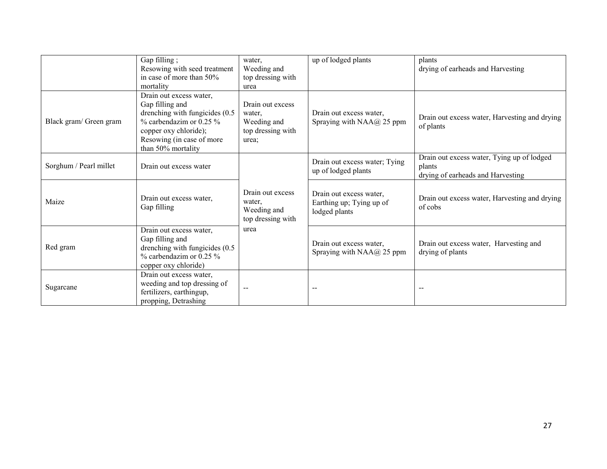|                        | Gap filling;<br>Resowing with seed treatment<br>in case of more than 50%<br>mortality                                                                                                      | water,<br>Weeding and<br>top dressing with<br>urea                      | up of lodged plants                                                  | plants<br>drying of earheads and Harvesting                                               |
|------------------------|--------------------------------------------------------------------------------------------------------------------------------------------------------------------------------------------|-------------------------------------------------------------------------|----------------------------------------------------------------------|-------------------------------------------------------------------------------------------|
| Black gram/ Green gram | Drain out excess water,<br>Gap filling and<br>drenching with fungicides (0.5)<br>$\%$ carbendazim or 0.25 $\%$<br>copper oxy chloride);<br>Resowing (in case of more<br>than 50% mortality | Drain out excess<br>water,<br>Weeding and<br>top dressing with<br>urea; | Drain out excess water,<br>Spraying with NAA@ 25 ppm                 | Drain out excess water, Harvesting and drying<br>of plants                                |
| Sorghum / Pearl millet | Drain out excess water                                                                                                                                                                     |                                                                         | Drain out excess water; Tying<br>up of lodged plants                 | Drain out excess water, Tying up of lodged<br>plants<br>drying of earheads and Harvesting |
| Maize                  | Drain out excess water,<br>Gap filling                                                                                                                                                     | Drain out excess<br>water,<br>Weeding and<br>top dressing with          | Drain out excess water,<br>Earthing up; Tying up of<br>lodged plants | Drain out excess water, Harvesting and drying<br>of cobs                                  |
| Red gram               | Drain out excess water,<br>Gap filling and<br>drenching with fungicides (0.5)<br>$%$ carbendazim or 0.25 $%$<br>copper oxy chloride)                                                       | urea                                                                    | Drain out excess water,<br>Spraying with NAA@ 25 ppm                 | Drain out excess water, Harvesting and<br>drying of plants                                |
| Sugarcane              | Drain out excess water,<br>weeding and top dressing of<br>fertilizers, earthingup,<br>propping, Detrashing                                                                                 |                                                                         |                                                                      |                                                                                           |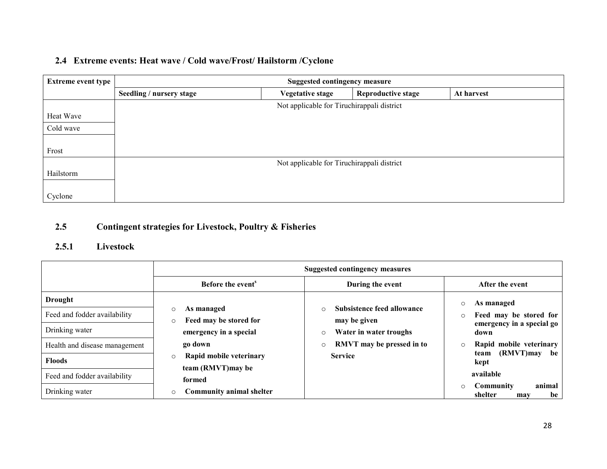#### 2.4 Extreme events: Heat wave / Cold wave/Frost/ Hailstorm /Cyclone

| <b>Extreme event type</b> | <b>Suggested contingency measure</b>       |                                            |                           |            |  |  |
|---------------------------|--------------------------------------------|--------------------------------------------|---------------------------|------------|--|--|
|                           | Seedling / nursery stage                   | <b>Vegetative stage</b>                    | <b>Reproductive stage</b> | At harvest |  |  |
|                           |                                            | Not applicable for Tiruchirappali district |                           |            |  |  |
| Heat Wave                 |                                            |                                            |                           |            |  |  |
| Cold wave                 |                                            |                                            |                           |            |  |  |
|                           |                                            |                                            |                           |            |  |  |
| Frost                     |                                            |                                            |                           |            |  |  |
|                           | Not applicable for Tiruchirappali district |                                            |                           |            |  |  |
| Hailstorm                 |                                            |                                            |                           |            |  |  |
|                           |                                            |                                            |                           |            |  |  |
| Cyclone                   |                                            |                                            |                           |            |  |  |

#### 2.5Contingent strategies for Livestock, Poultry & Fisheries

#### 2.5.1 Livestock

|                               | <b>Suggested contingency measures</b>                      |                                                       |                                                        |  |
|-------------------------------|------------------------------------------------------------|-------------------------------------------------------|--------------------------------------------------------|--|
|                               | Before the event <sup>s</sup>                              | During the event                                      | After the event                                        |  |
| <b>Drought</b>                |                                                            |                                                       | As managed<br>$\circ$                                  |  |
| Feed and fodder availability  | As managed<br>$\circ$<br>Feed may be stored for<br>$\circ$ | Subsistence feed allowance<br>$\circ$<br>may be given | Feed may be stored for<br>$\circ$                      |  |
| Drinking water                | emergency in a special                                     | Water in water troughs<br>$\circ$                     | emergency in a special go<br>down                      |  |
| Health and disease management | go down                                                    | RMVT may be pressed in to<br>$\circ$                  | Rapid mobile veterinary<br>$\circ$                     |  |
| <b>Floods</b>                 | Rapid mobile veterinary<br>$\circ$                         | <b>Service</b>                                        | (RMVT)may<br>be<br>team<br>kept                        |  |
| Feed and fodder availability  | team (RMVT) may be<br>formed                               |                                                       | available                                              |  |
| Drinking water                | <b>Community animal shelter</b><br>$\circ$                 |                                                       | animal<br>Community<br>$\circ$<br>shelter<br>be<br>may |  |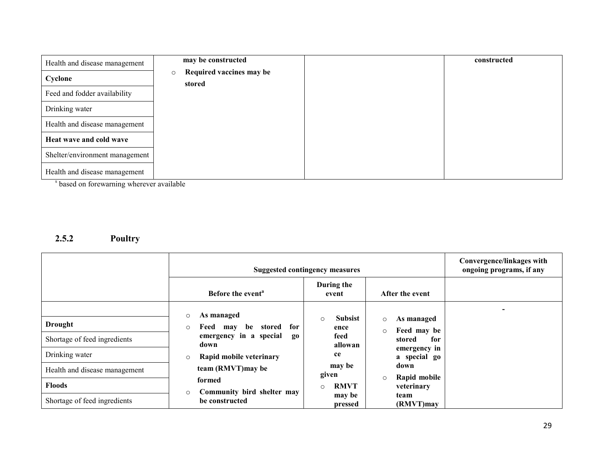| Health and disease management  | may be constructed                            | constructed |
|--------------------------------|-----------------------------------------------|-------------|
| Cyclone                        | Required vaccines may be<br>$\circ$<br>stored |             |
| Feed and fodder availability   |                                               |             |
| Drinking water                 |                                               |             |
| Health and disease management  |                                               |             |
| Heat wave and cold wave        |                                               |             |
| Shelter/environment management |                                               |             |
| Health and disease management  |                                               |             |

<sup>s</sup> based on forewarning wherever available

#### 2.5.2 Poultry

|                               | <b>Suggested contingency measures</b>                            | Convergence/linkages with<br>ongoing programs, if any |                                       |  |
|-------------------------------|------------------------------------------------------------------|-------------------------------------------------------|---------------------------------------|--|
|                               | Before the event <sup>a</sup>                                    | During the<br>event                                   | After the event                       |  |
| Drought                       | As managed<br>$\circ$<br>Feed<br>for<br>be<br>stored<br>mav<br>O | <b>Subsist</b><br>$\circ$<br>ence                     | As managed<br>$\circ$<br>Feed may be  |  |
| Shortage of feed ingredients  | emergency in a special<br>$_{0}$<br>down                         | feed<br>allowan                                       | $\circ$<br>for<br>stored              |  |
| Drinking water                | Rapid mobile veterinary<br>$\circ$                               | ce                                                    | emergency in<br>a special go          |  |
| Health and disease management | team (RMVT) may be                                               | may be<br>given                                       | down                                  |  |
| <b>Floods</b>                 | formed                                                           | <b>RMVT</b><br>$\circ$                                | Rapid mobile<br>$\circ$<br>veterinary |  |
| Shortage of feed ingredients  | Community bird shelter may<br>O<br>be constructed                | may be<br>pressed                                     | team<br>(RMVT)may                     |  |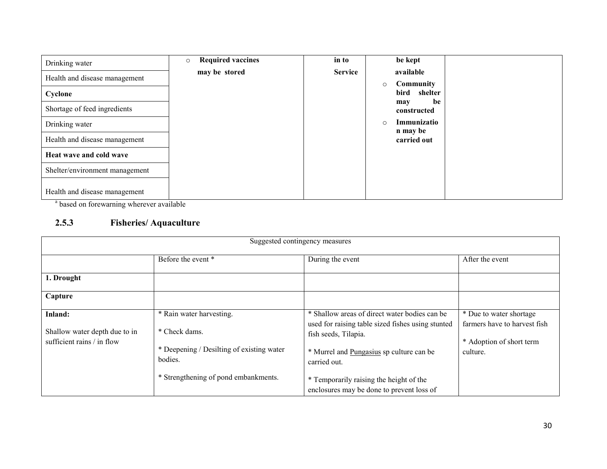| Drinking water                 | <b>Required vaccines</b><br>$\circ$ | in to          | be kept                            |  |
|--------------------------------|-------------------------------------|----------------|------------------------------------|--|
| Health and disease management  | may be stored                       | <b>Service</b> | available<br>Community<br>$\circ$  |  |
| Cyclone                        |                                     |                | bird shelter                       |  |
| Shortage of feed ingredients   |                                     |                | be<br>may<br>constructed           |  |
| Drinking water                 |                                     |                | Immunizatio<br>$\circ$<br>n may be |  |
| Health and disease management  |                                     |                | carried out                        |  |
| Heat wave and cold wave        |                                     |                |                                    |  |
| Shelter/environment management |                                     |                |                                    |  |
| Health and disease management  |                                     |                |                                    |  |

<sup>a</sup> based on forewarning wherever available

#### 2.5.3 Fisheries/ Aquaculture

| Suggested contingency measures                                         |                                                                                                   |                                                                                                                                                                                        |                                                                                                 |  |
|------------------------------------------------------------------------|---------------------------------------------------------------------------------------------------|----------------------------------------------------------------------------------------------------------------------------------------------------------------------------------------|-------------------------------------------------------------------------------------------------|--|
|                                                                        | Before the event *                                                                                | During the event                                                                                                                                                                       | After the event                                                                                 |  |
| 1. Drought                                                             |                                                                                                   |                                                                                                                                                                                        |                                                                                                 |  |
| Capture                                                                |                                                                                                   |                                                                                                                                                                                        |                                                                                                 |  |
| Inland:<br>Shallow water depth due to in<br>sufficient rains / in flow | * Rain water harvesting.<br>* Check dams.<br>* Deepening / Desilting of existing water<br>bodies. | * Shallow areas of direct water bodies can be<br>used for raising table sized fishes using stunted<br>fish seeds, Tilapia.<br>* Murrel and Pungasius sp culture can be<br>carried out. | * Due to water shortage<br>farmers have to harvest fish<br>* Adoption of short term<br>culture. |  |
|                                                                        | * Strengthening of pond embankments.                                                              | * Temporarily raising the height of the<br>enclosures may be done to prevent loss of                                                                                                   |                                                                                                 |  |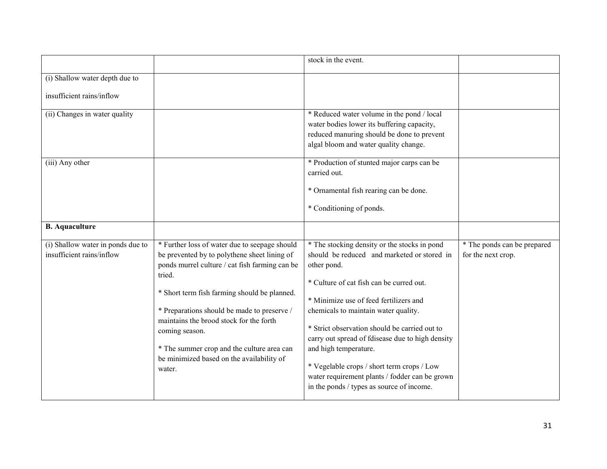|                                                                |                                                                                                                                                                                                                                                                                                                                                                                                                            | stock in the event.                                                                                                                                                                                                                                                                                                                                                                                                                                                                                                 |                                                   |
|----------------------------------------------------------------|----------------------------------------------------------------------------------------------------------------------------------------------------------------------------------------------------------------------------------------------------------------------------------------------------------------------------------------------------------------------------------------------------------------------------|---------------------------------------------------------------------------------------------------------------------------------------------------------------------------------------------------------------------------------------------------------------------------------------------------------------------------------------------------------------------------------------------------------------------------------------------------------------------------------------------------------------------|---------------------------------------------------|
| (i) Shallow water depth due to                                 |                                                                                                                                                                                                                                                                                                                                                                                                                            |                                                                                                                                                                                                                                                                                                                                                                                                                                                                                                                     |                                                   |
| insufficient rains/inflow                                      |                                                                                                                                                                                                                                                                                                                                                                                                                            |                                                                                                                                                                                                                                                                                                                                                                                                                                                                                                                     |                                                   |
| (ii) Changes in water quality                                  |                                                                                                                                                                                                                                                                                                                                                                                                                            | * Reduced water volume in the pond / local<br>water bodies lower its buffering capacity,<br>reduced manuring should be done to prevent<br>algal bloom and water quality change.                                                                                                                                                                                                                                                                                                                                     |                                                   |
| (iii) Any other                                                |                                                                                                                                                                                                                                                                                                                                                                                                                            | * Production of stunted major carps can be<br>carried out.<br>* Ornamental fish rearing can be done.<br>* Conditioning of ponds.                                                                                                                                                                                                                                                                                                                                                                                    |                                                   |
| <b>B.</b> Aquaculture                                          |                                                                                                                                                                                                                                                                                                                                                                                                                            |                                                                                                                                                                                                                                                                                                                                                                                                                                                                                                                     |                                                   |
| (i) Shallow water in ponds due to<br>insufficient rains/inflow | * Further loss of water due to seepage should<br>be prevented by to polythene sheet lining of<br>ponds murrel culture / cat fish farming can be<br>tried.<br>* Short term fish farming should be planned.<br>* Preparations should be made to preserve /<br>maintains the brood stock for the forth<br>coming season.<br>* The summer crop and the culture area can<br>be minimized based on the availability of<br>water. | * The stocking density or the stocks in pond<br>should be reduced and marketed or stored in<br>other pond.<br>* Culture of cat fish can be curred out.<br>* Minimize use of feed fertilizers and<br>chemicals to maintain water quality.<br>* Strict observation should be carried out to<br>carry out spread of fdisease due to high density<br>and high temperature.<br>* Vegelable crops / short term crops / Low<br>water requirement plants / fodder can be grown<br>in the ponds / types as source of income. | * The ponds can be prepared<br>for the next crop. |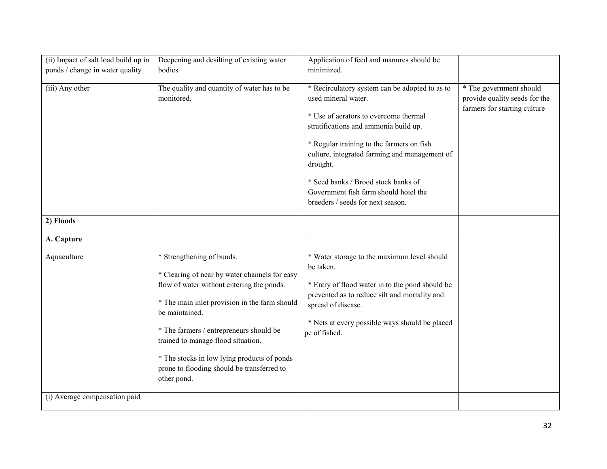| (ii) Impact of salt load build up in | Deepening and desilting of existing water                       | Application of feed and manures should be       |                               |
|--------------------------------------|-----------------------------------------------------------------|-------------------------------------------------|-------------------------------|
| ponds / change in water quality      | bodies.                                                         | minimized.                                      |                               |
|                                      |                                                                 |                                                 |                               |
| (iii) Any other                      | The quality and quantity of water has to be                     | * Recirculatory system can be adopted to as to  | * The government should       |
|                                      | monitored.                                                      | used mineral water.                             | provide quality seeds for the |
|                                      |                                                                 | * Use of aerators to overcome thermal           | farmers for starting culture  |
|                                      |                                                                 | stratifications and ammonia build up.           |                               |
|                                      |                                                                 |                                                 |                               |
|                                      |                                                                 | * Regular training to the farmers on fish       |                               |
|                                      |                                                                 | culture, integrated farming and management of   |                               |
|                                      |                                                                 | drought.                                        |                               |
|                                      |                                                                 | * Seed banks / Brood stock banks of             |                               |
|                                      |                                                                 | Government fish farm should hotel the           |                               |
|                                      |                                                                 | breeders / seeds for next season.               |                               |
|                                      |                                                                 |                                                 |                               |
| 2) Floods                            |                                                                 |                                                 |                               |
| A. Capture                           |                                                                 |                                                 |                               |
| Aquaculture                          | * Strengthening of bunds.                                       | * Water storage to the maximum level should     |                               |
|                                      |                                                                 | be taken.                                       |                               |
|                                      | * Clearing of near by water channels for easy                   |                                                 |                               |
|                                      | flow of water without entering the ponds.                       | * Entry of flood water in to the pond should be |                               |
|                                      |                                                                 | prevented as to reduce silt and mortality and   |                               |
|                                      | * The main inlet provision in the farm should<br>be maintained. | spread of disease.                              |                               |
|                                      |                                                                 | * Nets at every possible ways should be placed  |                               |
|                                      | * The farmers / entrepreneurs should be                         | pe of fished.                                   |                               |
|                                      | trained to manage flood situation.                              |                                                 |                               |
|                                      |                                                                 |                                                 |                               |
|                                      | * The stocks in low lying products of ponds                     |                                                 |                               |
|                                      | prone to flooding should be transferred to                      |                                                 |                               |
|                                      | other pond.                                                     |                                                 |                               |
| (i) Average compensation paid        |                                                                 |                                                 |                               |
|                                      |                                                                 |                                                 |                               |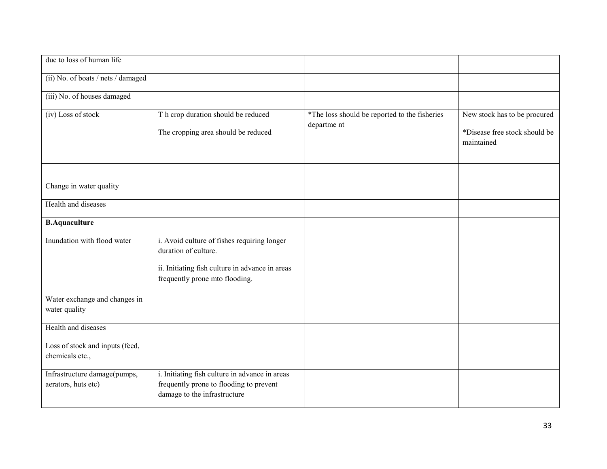| due to loss of human life                           |                                                                                                                                                          |                                                              |                                                                             |
|-----------------------------------------------------|----------------------------------------------------------------------------------------------------------------------------------------------------------|--------------------------------------------------------------|-----------------------------------------------------------------------------|
| (ii) No. of boats / nets / damaged                  |                                                                                                                                                          |                                                              |                                                                             |
| (iii) No. of houses damaged                         |                                                                                                                                                          |                                                              |                                                                             |
| (iv) Loss of stock                                  | T h crop duration should be reduced<br>The cropping area should be reduced                                                                               | *The loss should be reported to the fisheries<br>departme nt | New stock has to be procured<br>*Disease free stock should be<br>maintained |
| Change in water quality                             |                                                                                                                                                          |                                                              |                                                                             |
| Health and diseases                                 |                                                                                                                                                          |                                                              |                                                                             |
| <b>B.Aquaculture</b>                                |                                                                                                                                                          |                                                              |                                                                             |
| Inundation with flood water                         | i. Avoid culture of fishes requiring longer<br>duration of culture.<br>ii. Initiating fish culture in advance in areas<br>frequently prone mto flooding. |                                                              |                                                                             |
| Water exchange and changes in<br>water quality      |                                                                                                                                                          |                                                              |                                                                             |
| Health and diseases                                 |                                                                                                                                                          |                                                              |                                                                             |
| Loss of stock and inputs (feed,<br>chemicals etc.,  |                                                                                                                                                          |                                                              |                                                                             |
| Infrastructure damage(pumps,<br>aerators, huts etc) | i. Initiating fish culture in advance in areas<br>frequently prone to flooding to prevent<br>damage to the infrastructure                                |                                                              |                                                                             |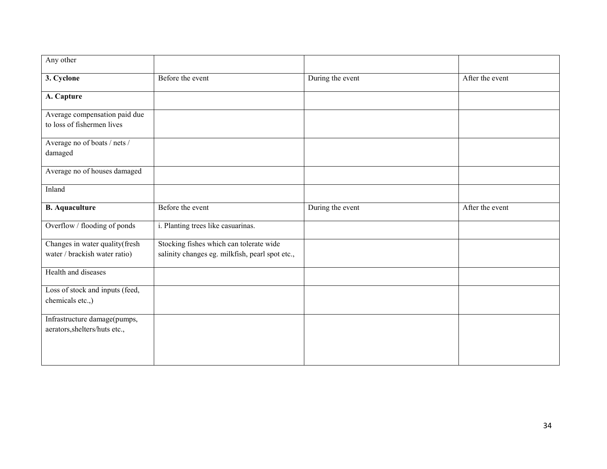| Any other                       |                                                 |                  |                 |
|---------------------------------|-------------------------------------------------|------------------|-----------------|
| 3. Cyclone                      | Before the event                                | During the event | After the event |
| A. Capture                      |                                                 |                  |                 |
| Average compensation paid due   |                                                 |                  |                 |
| to loss of fishermen lives      |                                                 |                  |                 |
| Average no of boats / nets /    |                                                 |                  |                 |
| damaged                         |                                                 |                  |                 |
| Average no of houses damaged    |                                                 |                  |                 |
| Inland                          |                                                 |                  |                 |
| <b>B.</b> Aquaculture           | Before the event                                | During the event | After the event |
| Overflow / flooding of ponds    | i. Planting trees like casuarinas.              |                  |                 |
| Changes in water quality(fresh  | Stocking fishes which can tolerate wide         |                  |                 |
| water / brackish water ratio)   | salinity changes eg. milkfish, pearl spot etc., |                  |                 |
| Health and diseases             |                                                 |                  |                 |
| Loss of stock and inputs (feed, |                                                 |                  |                 |
| chemicals etc.,)                |                                                 |                  |                 |
| Infrastructure damage(pumps,    |                                                 |                  |                 |
| aerators, shelters/huts etc.,   |                                                 |                  |                 |
|                                 |                                                 |                  |                 |
|                                 |                                                 |                  |                 |